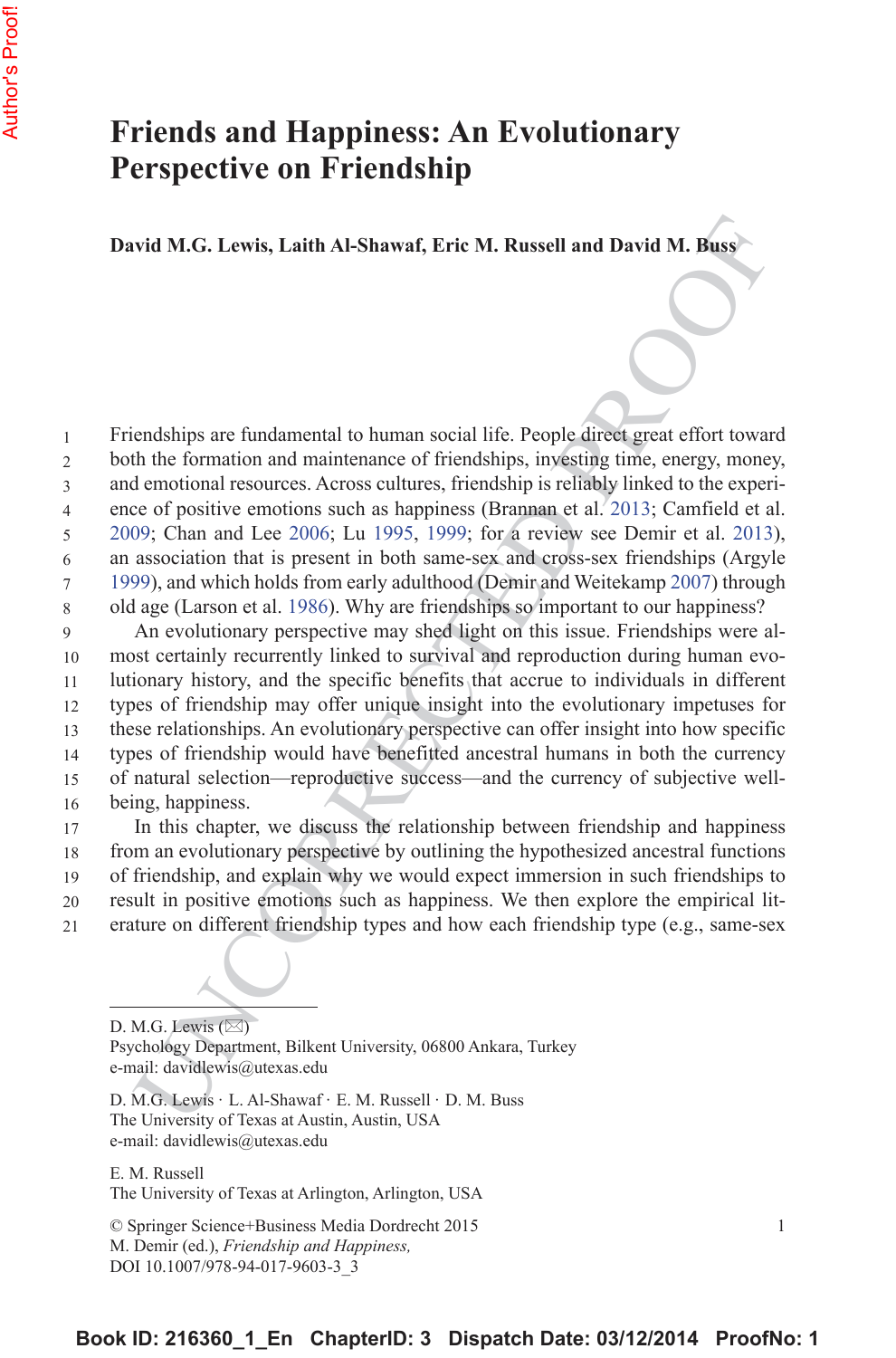# **Friends and Happiness: An Evolutionary Perspective on Friendship**

**David M.G. Lewis, Laith Al-Shawaf, Eric M. Russell and David M. Buss**

Friendships are fundamental to human social life. People direct great effort toward both the formation and maintenance of friendships, investing time, energy, money, and emotional resources. Across cultures, friendship is reliably linked to the experience of positive emotions such as happiness (Brannan et al. 2013; Camfield et al. [2009;](#page-16-1) Chan and Lee 2006; Lu 1995, 1999; for a review see Demir et al. 2013), an association that is present in both same-sex and cross-sex friendships (Argyle [1999\)](#page-15-0), and which holds from early adulthood (Demir and Weitekamp 2007) through old age (Larson et al. 1986). Why are friendships so important to our happiness? 1 2 3 4 5 6 7 8

vid M.G. Lewis, Laith Al-Shawaf, Eric M. Russell and David M. Bussel<br>
endships are fundamental to human social life. [P](#page-16-0)eople direct great effort towar<br>
the the formation and maintenance of friendships investing time, energy An evolutionary perspective may shed light on this issue. Friendships were almost certainly recurrently linked to survival and reproduction during human evolutionary history, and the specific benefits that accrue to individuals in different types of friendship may offer unique insight into the evolutionary impetuses for these relationships. An evolutionary perspective can offer insight into how specific types of friendship would have benefitted ancestral humans in both the currency of natural selection—reproductive success—and the currency of subjective wellbeing, happiness.  $\alpha$ 10 11 12 13 14 15 16

In this chapter, we discuss the relationship between friendship and happiness from an evolutionary perspective by outlining the hypothesized ancestral functions of friendship, and explain why we would expect immersion in such friendships to result in positive emotions such as happiness. We then explore the empirical literature on different friendship types and how each friendship type (e.g., same-sex 17 18 19 20  $21$ 

D. M.G. Lewis  $(\boxtimes)$ Psychology Department, Bilkent University, 06800 Ankara, Turkey e-mail: davidlewis@utexas.edu

D. M.G. Lewis · L. Al-Shawaf · E. M. Russell · D. M. Buss The University of Texas at Austin, Austin, USA e-mail: davidlewis@utexas.edu

E. M. Russell The University of Texas at Arlington, Arlington, USA

© Springer Science+Business Media Dordrecht 2015 M. Demir (ed.), *Friendship and Happiness,* DOI 10.1007/978-94-017-9603-3\_3

1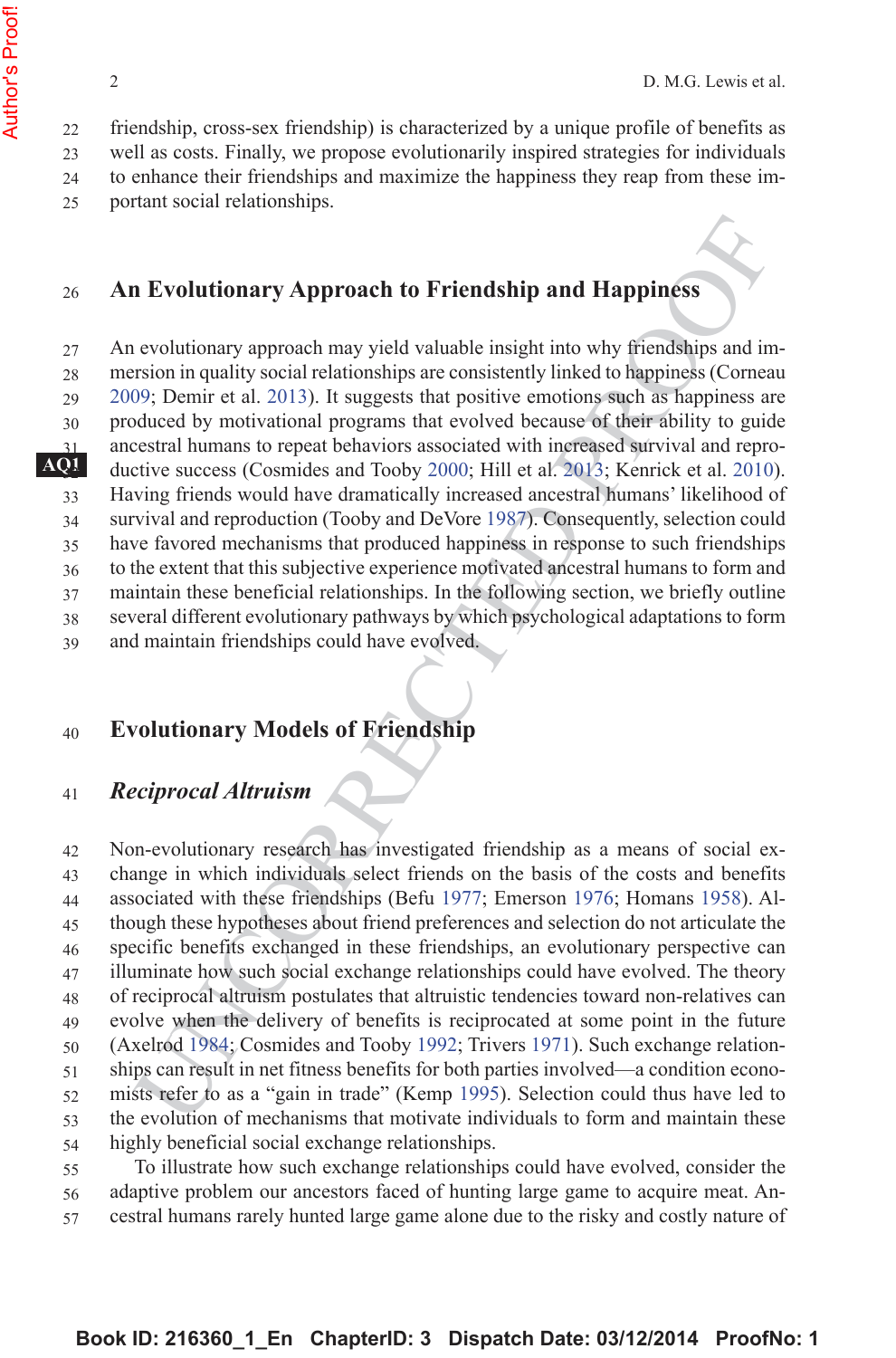friendship, cross-sex friendship) is characterized by a unique profile of benefits as well as costs. Finally, we propose evolutionarily inspired strategies for individuals 22 23

to enhance their friendships and maximize the happiness they reap from these im-24

portant social relationships. 25

# **An Evolutionary Approach to Friendship and Happiness** 26

An evolutionary approach may yield valuable insight into why friendships and immersion in quality social relationships are consistently linked to happiness (Corneau [2009;](#page-17-2) Demir et al. 2013). It suggests that positive emotions such as happiness are produced by motivational programs that evolved because of their ability to guide ancestral humans to repeat behaviors associated with increased survival and reproductive success (Cosmides and Tooby 2000; Hill et al. 2013; Kenrick et al. 2010). Having friends would have dramatically increased ancestral humans' likelihood of survival and reproduction (Tooby and DeVore 1987). Consequently, selection could have favored mechanisms that produced happiness in response to such friendships to the extent that this subjective experience motivated ancestral humans to form and maintain these beneficial relationships. In the following section, we briefly outline several different evolutionary pathways by which psychological adaptations to form **AQ1** 32 27 28 29 30 31 33 34 35 36 37

- 38
- and maintain friendships could have evolved. 39

# **Evolutionary Models of Friendship** 40

## *Reciprocal Altruism* 41

**n Evolutionary Approach to Friendship and Happiness**<br> **Evolutionary Approach may** yield valuable insight into why frendships and<br>
colutionary approach may yield valuable insight into why frendships and<br>
09; [D](#page-19-2)emir et al. Non-evolutionary research has investigated friendship as a means of social exchange in which individuals select friends on the basis of the costs and benefits associated with these friendships (Befu 1977; Emerson 1976; Homans 1958). Although these hypotheses about friend preferences and selection do not articulate the specific benefits exchanged in these friendships, an evolutionary perspective can illuminate how such social exchange relationships could have evolved. The theory of reciprocal altruism postulates that altruistic tendencies toward non-relatives can evolve when the delivery of benefits is reciprocated at some point in the future (Axelrod 1984; Cosmides and Tooby 1992; Trivers 1971). Such exchange relationships can result in net fitness benefits for both parties involved—a condition economists refer to as a "gain in trade" (Kemp 1995). Selection could thus have led to the evolution of mechanisms that motivate individuals to form and maintain these highly beneficial social exchange relationships. 42 43 44 45 46 47 48 49 50 51 52 53 54

To illustrate how such exchange relationships could have evolved, consider the adaptive problem our ancestors faced of hunting large game to acquire meat. Ancestral humans rarely hunted large game alone due to the risky and costly nature of 55 56 57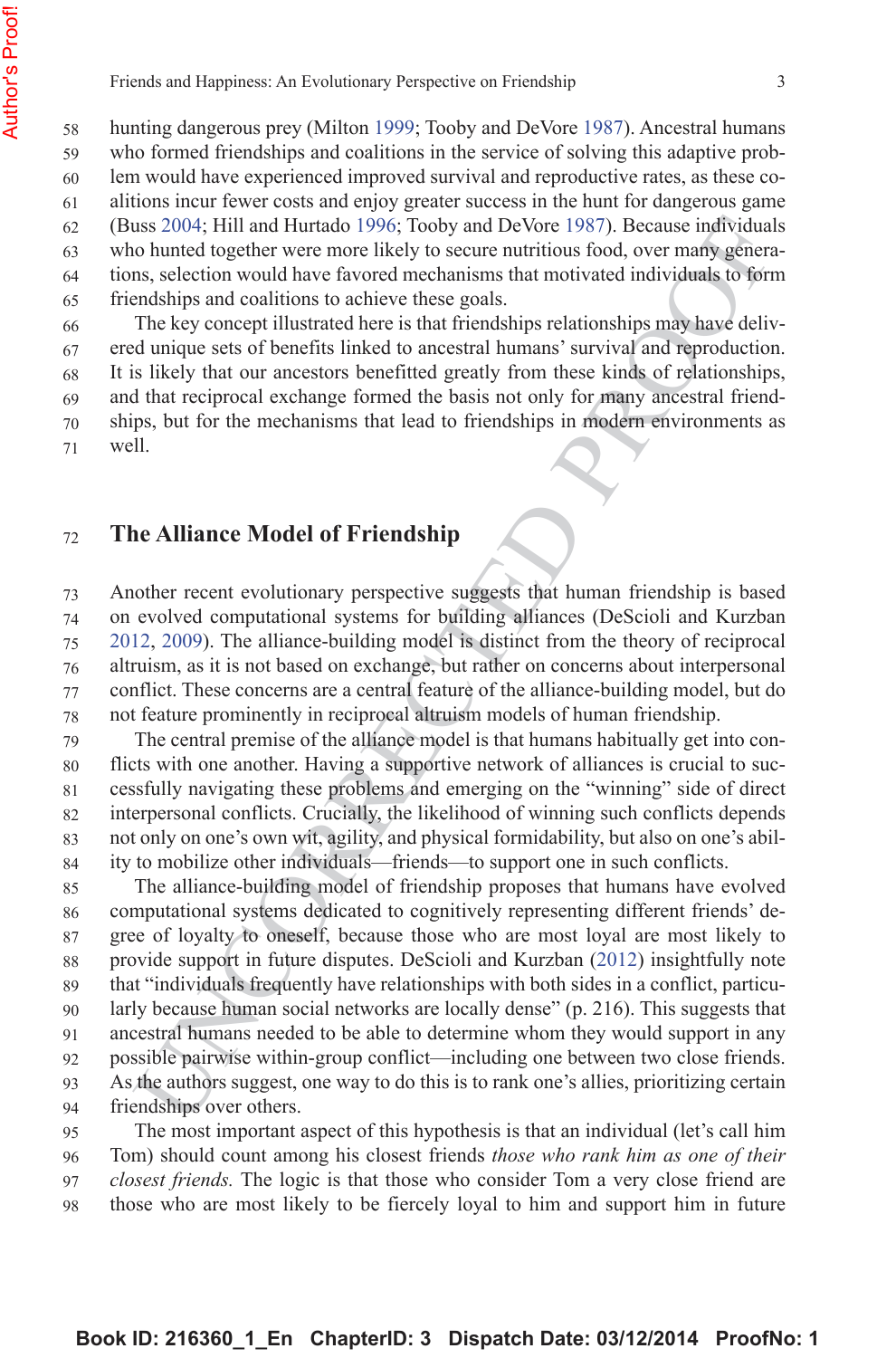hunting dangerous prey (Milton [1999;](#page-19-4) Tooby and DeVore [1987\)](#page-19-2). Ancestral humans who formed friendships and coalitions in the service of solving this adaptive problem would have experienced improved survival and reproductive rates, as these coalitions incur fewer costs and enjoy greater success in the hunt for dangerous game (Buss 2004; Hill and Hurtado 1996; Tooby and DeVore 1987). Because individuals who hunted together were more likely to secure nutritious food, over many generations, selection would have favored mechanisms that motivated individuals to form friendships and coalitions to achieve these goals. 58 59 60 61 62 63 64 65

The key concept illustrated here is that friendships relationships may have delivered unique sets of benefits linked to ancestral humans' survival and reproduction. It is likely that our ancestors benefitted greatly from these kinds of relationships, and that reciprocal exchange formed the basis not only for many ancestral friendships, but for the mechanisms that lead to friendships in modern environments as well. 66 67 68 69 70 71

# **The Alliance Model of Friendship** 72

Another recent evolutionary perspective suggests that human friendship is based on evolved computational systems for building alliances (DeScioli and Kurzban [2012,](#page-17-6) 2009). The alliance-building model is distinct from the theory of reciprocal altruism, as it is not based on exchange, but rather on concerns about interpersonal conflict. These concerns are a central feature of the alliance-building model, but do not feature prominently in reciprocal altruism models of human friendship. 73 74 75 76 77 78

The central premise of the alliance model is that humans habitually get into conflicts with one another. Having a supportive network of alliances is crucial to successfully navigating these problems and emerging on the "winning" side of direct interpersonal conflicts. Crucially, the likelihood of winning such conflicts depends not only on one's own wit, agility, and physical formidability, but also on one's ability to mobilize other individuals—friends—to support one in such conflicts. 79 80 81 82 83 84

sus 2004; Hill and Huntaha 1996; Tooby and DeVore 1987). Because individual<br>In thurth and Huntaha 1996; Tooby and DeVore Particular Scotters and Control to hunted together were more likely to secure nurtrious food, over ma The alliance-building model of friendship proposes that humans have evolved computational systems dedicated to cognitively representing different friends' degree of loyalty to oneself, because those who are most loyal are most likely to provide support in future disputes. DeScioli and Kurzban (2012) insightfully note that "individuals frequently have relationships with both sides in a conflict, particularly because human social networks are locally dense" (p. 216). This suggests that ancestral humans needed to be able to determine whom they would support in any possible pairwise within-group conflict—including one between two close friends. As the authors suggest, one way to do this is to rank one's allies, prioritizing certain friendships over others. 85 86 87 88 89 90 91 92 93 94

The most important aspect of this hypothesis is that an individual (let's call him Tom) should count among his closest friends *those who rank him as one of their closest friends.* The logic is that those who consider Tom a very close friend are those who are most likely to be fiercely loyal to him and support him in future 95 96 97 98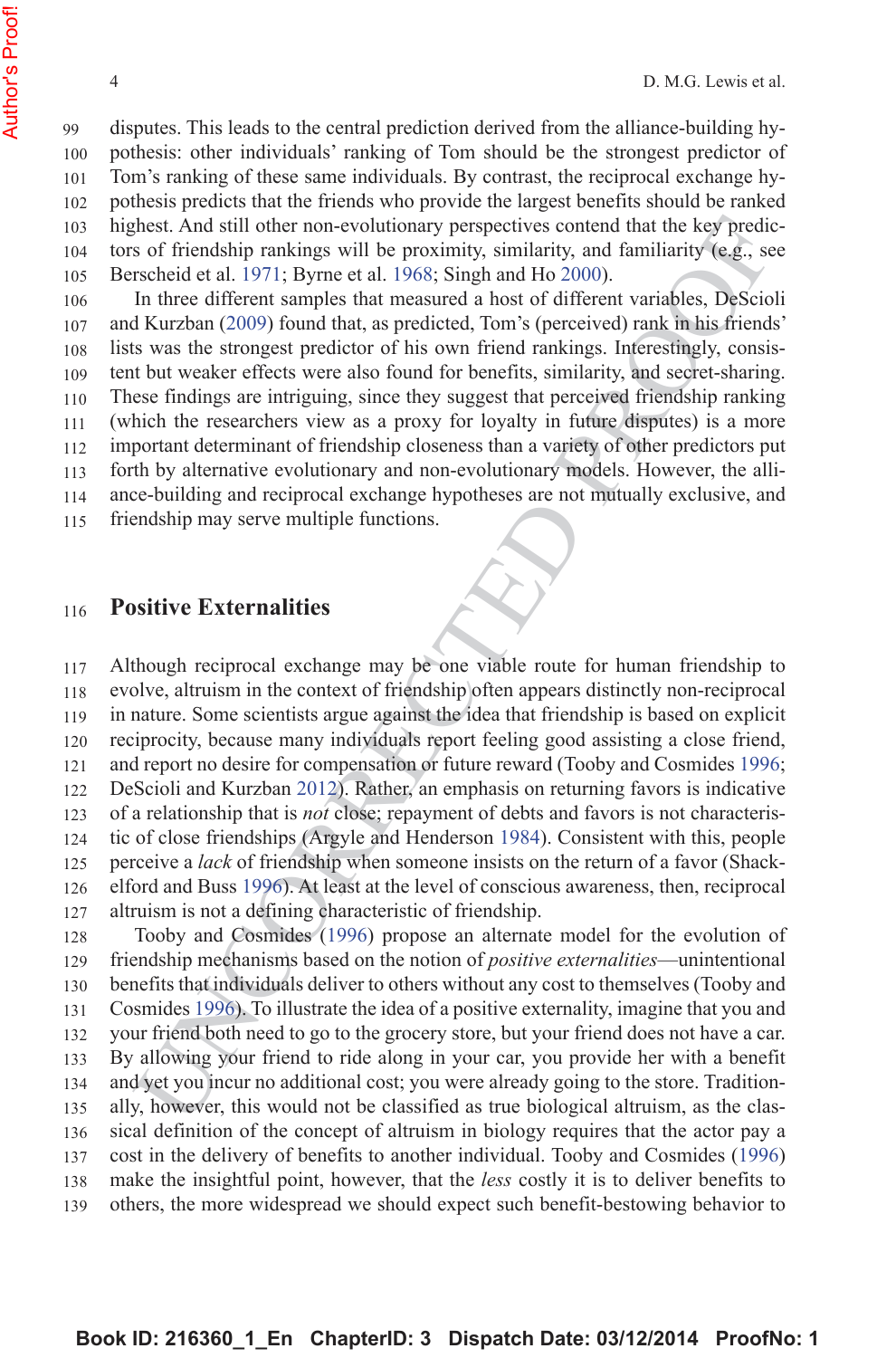Author's Proof! Author's Proof!

disputes. This leads to the central prediction derived from the alliance-building hypothesis: other individuals' ranking of Tom should be the strongest predictor of Tom's ranking of these same individuals. By contrast, the reciprocal exchange hypothesis predicts that the friends who provide the largest benefits should be ranked highest. And still other non-evolutionary perspectives contend that the key predictors of friendship rankings will be proximity, similarity, and familiarity (e.g., see Berscheid et al. 1971; Byrne et al. 1968; Singh and Ho 2000). 99 100 101 102 103 104 105

In three different samples that measured a host of different variables, DeScioli and Kurzban (2009) found that, as predicted, Tom's (perceived) rank in his friends' lists was the strongest predictor of his own friend rankings. Interestingly, consistent but weaker effects were also found for benefits, similarity, and secret-sharing. These findings are intriguing, since they suggest that perceived friendship ranking (which the researchers view as a proxy for loyalty in future disputes) is a more important determinant of friendship closeness than a variety of other predictors put forth by alternative evolutionary and non-evolutionary models. However, the alliance-building and reciprocal exchange hypotheses are not mutually exclusive, and friendship may serve multiple functions. 106 107 108 109 110 111 112 113 114 115

## **Positive Externalities** 116

thest. And still other non-evolutionary perspectives contend that the key predicts.<br>In so f friendship rankings will be proximity, similarity, and familiarity (e.g., se<br>solid et al. 1971; Byme et al. 1968; Singh and Ho 200 Although reciprocal exchange may be one viable route for human friendship to evolve, altruism in the context of friendship often appears distinctly non-reciprocal in nature. Some scientists argue against the idea that friendship is based on explicit reciprocity, because many individuals report feeling good assisting a close friend, and report no desire for compensation or future reward (Tooby and Cosmides 1996; DeScioli and Kurzban 2012). Rather, an emphasis on returning favors is indicative of a relationship that is *not* close; repayment of debts and favors is not characteristic of close friendships (Argyle and Henderson 1984). Consistent with this, people perceive a *lack* of friendship when someone insists on the return of a favor (Shackelford and Buss 1996). At least at the level of conscious awareness, then, reciprocal altruism is not a defining characteristic of friendship. Tooby and Cosmides (1996) propose an alternate model for the evolution of friendship mechanisms based on the notion of *positive externalities*—unintentional benefits that individuals deliver to others without any cost to themselves (Tooby and 117 118 119 120 121  $122$ 123 124 125 126 127 128 129 130

Cosmides 1996). To illustrate the idea of a positive externality, imagine that you and your friend both need to go to the grocery store, but your friend does not have a car. By allowing your friend to ride along in your car, you provide her with a benefit and yet you incur no additional cost; you were already going to the store. Traditionally, however, this would not be classified as true biological altruism, as the classical definition of the concept of altruism in biology requires that the actor pay a cost in the delivery of benefits to another individual. Tooby and Cosmides [\(1996](#page-19-6)) make the insightful point, however, that the *less* costly it is to deliver benefits to others, the more widespread we should expect such benefit-bestowing behavior to 131 132 133 134 135 136 137 138 139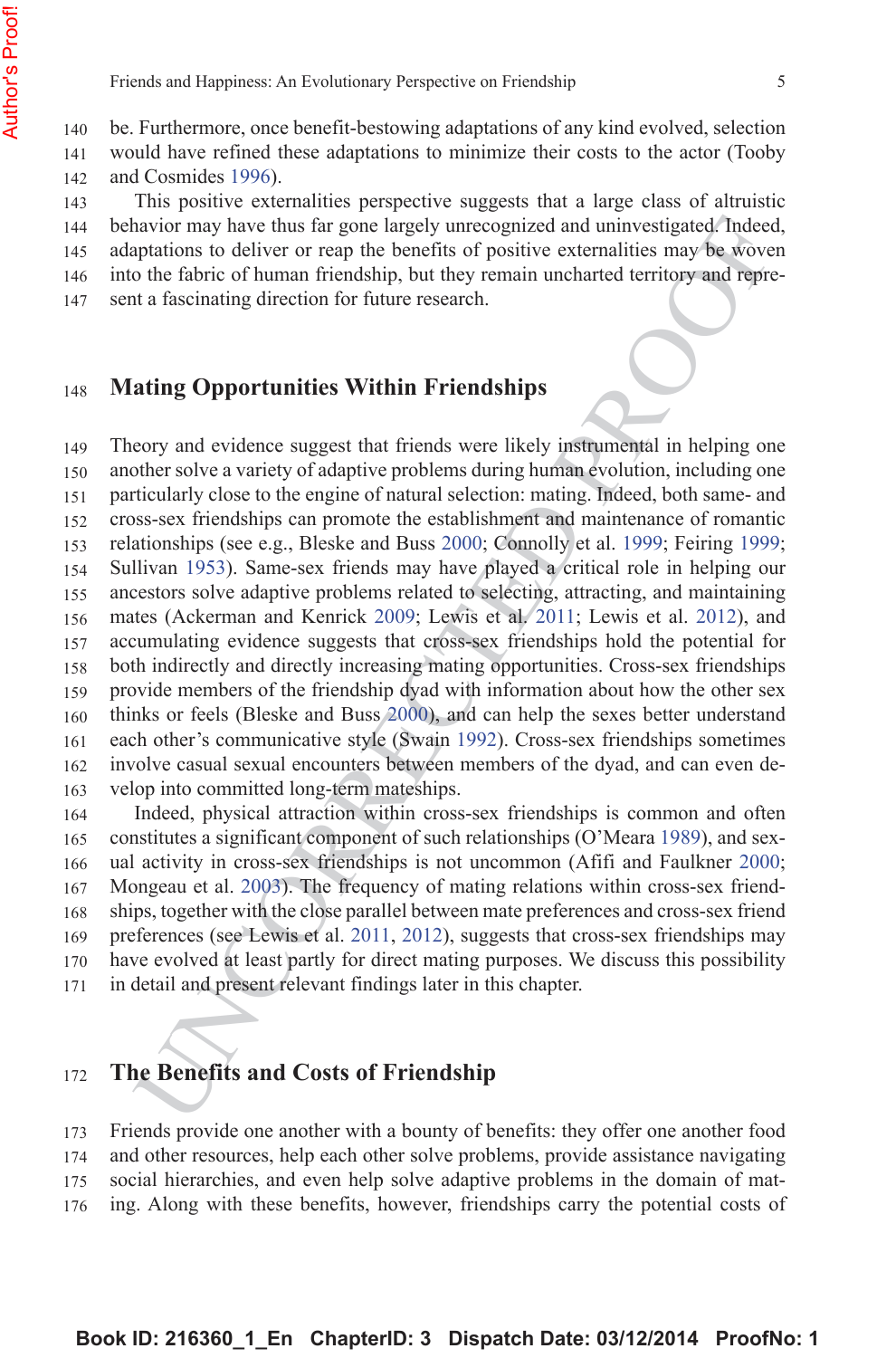Friends and Happiness: An Evolutionary Perspective on Friendship 5

be. Furthermore, once benefit-bestowing adaptations of any kind evolved, selection would have refined these adaptations to minimize their costs to the actor (Tooby 140 141

and Cosmides [1996\)](#page-19-6). 142

This positive externalities perspective suggests that a large class of altruistic behavior may have thus far gone largely unrecognized and uninvestigated. Indeed, adaptations to deliver or reap the benefits of positive externalities may be woven into the fabric of human friendship, but they remain uncharted territory and represent a fascinating direction for future research. 143 144 145 146 147

# **Mating Opportunities Within Friendships** 148

Theory and evidence suggest that friends were likely instrumental in helping one another solve a variety of adaptive problems during human evolution, including one particularly close to the engine of natural selection: mating. Indeed, both same- and cross-sex friendships can promote the establishment and maintenance of romantic relationships (see e.g., Bleske and Buss 2000; Connolly et al. 1999; Feiring 1999; 149 150 151 152 153

- Sullivan 1953). Same-sex friends may have played a critical role in helping our ancestors solve adaptive problems related to selecting, attracting, and maintaining 154 155
- mates (Ackerman and Kenrick 2009; Lewis et al. 2011; Lewis et al. 2012), and 156
- accumulating evidence suggests that cross-sex friendships hold the potential for 157
- both indirectly and directly increasing mating opportunities. Cross-sex friendships 158
- provide members of the friendship dyad with information about how the other sex 159
- thinks or feels (Bleske and Buss 2000), and can help the sexes better understand each other's communicative style (Swain 1992). Cross-sex friendships sometimes 160 161
- involve casual sexual encounters between members of the dyad, and can even de-162
- velop into committed long-term mateships. 163
- may have thus far gone largely unrecognized and unimeterigated. The<br>denotion to deliver or reap the benefits of positive externalities may be wove<br>othe fabric of human friendship, but they remain uncharted territory and re Indeed, physical attraction within cross-sex friendships is common and often constitutes a significant component of such relationships (O'Meara 1989), and sexual activity in cross-sex friendships is not uncommon (Afifi and Faulkner 2000; Mongeau et al. 2003). The frequency of mating relations within cross-sex friendships, together with the close parallel between mate preferences and cross-sex friend preferences (see Lewis et al. 2011, 2012), suggests that cross-sex friendships may have evolved at least partly for direct mating purposes. We discuss this possibility 164 165 166 167 168 169 170
- in detail and present relevant findings later in this chapter. 171

# **The Benefits and Costs of Friendship** 172

Friends provide one another with a bounty of benefits: they offer one another food 173

- and other resources, help each other solve problems, provide assistance navigating 174
- social hierarchies, and even help solve adaptive problems in the domain of mat-175
- ing. Along with these benefits, however, friendships carry the potential costs of 176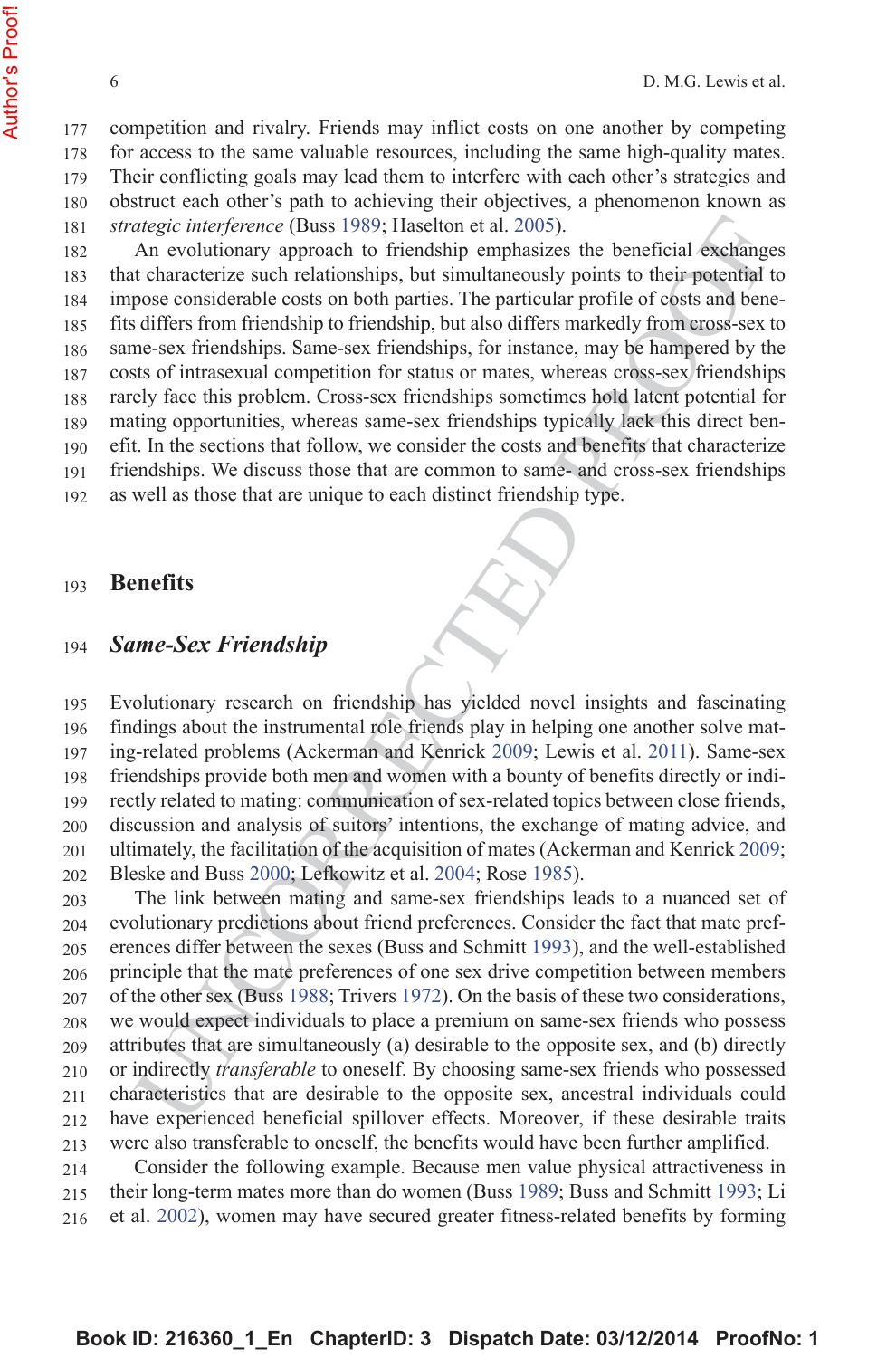competition and rivalry. Friends may inflict costs on one another by competing for access to the same valuable resources, including the same high-quality mates. Their conflicting goals may lead them to interfere with each other's strategies and obstruct each other's path to achieving their objectives, a phenomenon known as *strategic interference* (Buss 1989; Haselton et al. 2005). 177 178 179 180 181

are interference (Buss). Haselon et al. 2005).<br>An evolutionary approach to friendship emphasizes the beneficial exchange<br>that characterize such relationships, but simultaneously points to their potential to<br>tharacterize su An evolutionary approach to friendship emphasizes the beneficial exchanges that characterize such relationships, but simultaneously points to their potential to impose considerable costs on both parties. The particular profile of costs and benefits differs from friendship to friendship, but also differs markedly from cross-sex to same-sex friendships. Same-sex friendships, for instance, may be hampered by the costs of intrasexual competition for status or mates, whereas cross-sex friendships rarely face this problem. Cross-sex friendships sometimes hold latent potential for mating opportunities, whereas same-sex friendships typically lack this direct benefit. In the sections that follow, we consider the costs and benefits that characterize friendships. We discuss those that are common to same- and cross-sex friendships as well as those that are unique to each distinct friendship type. 182 183 184 185 186 187 188 189 190 191 192

## **Benefits** 193

#### *Same-Sex Friendship* 194

Evolutionary research on friendship has yielded novel insights and fascinating findings about the instrumental role friends play in helping one another solve mating-related problems (Ackerman and Kenrick 2009; Lewis et al. 2011). Same-sex friendships provide both men and women with a bounty of benefits directly or indirectly related to mating: communication of sex-related topics between close friends, discussion and analysis of suitors' intentions, the exchange of mating advice, and ultimately, the facilitation of the acquisition of mates (Ackerman and Kenrick 2009; Bleske and Buss 2000; Lefkowitz et al. 2004; Rose 1985). 195 196 197 198 199 200 201 202

The link between mating and same-sex friendships leads to a nuanced set of evolutionary predictions about friend preferences. Consider the fact that mate preferences differ between the sexes (Buss and Schmitt 1993), and the well-established principle that the mate preferences of one sex drive competition between members of the other sex (Buss 1988; Trivers 1972). On the basis of these two considerations, we would expect individuals to place a premium on same-sex friends who possess attributes that are simultaneously (a) desirable to the opposite sex, and (b) directly or indirectly *transferable* to oneself. By choosing same-sex friends who possessed characteristics that are desirable to the opposite sex, ancestral individuals could have experienced beneficial spillover effects. Moreover, if these desirable traits were also transferable to oneself, the benefits would have been further amplified. 203 204 205 206 207 208 209 210 211 212 213

Consider the following example. Because men value physical attractiveness in their long-term mates more than do women (Buss [1989](#page-16-7); Buss and Schmitt [1993](#page-16-8); Li et al. [2002](#page-19-14)), women may have secured greater fitness-related benefits by forming 214 215 216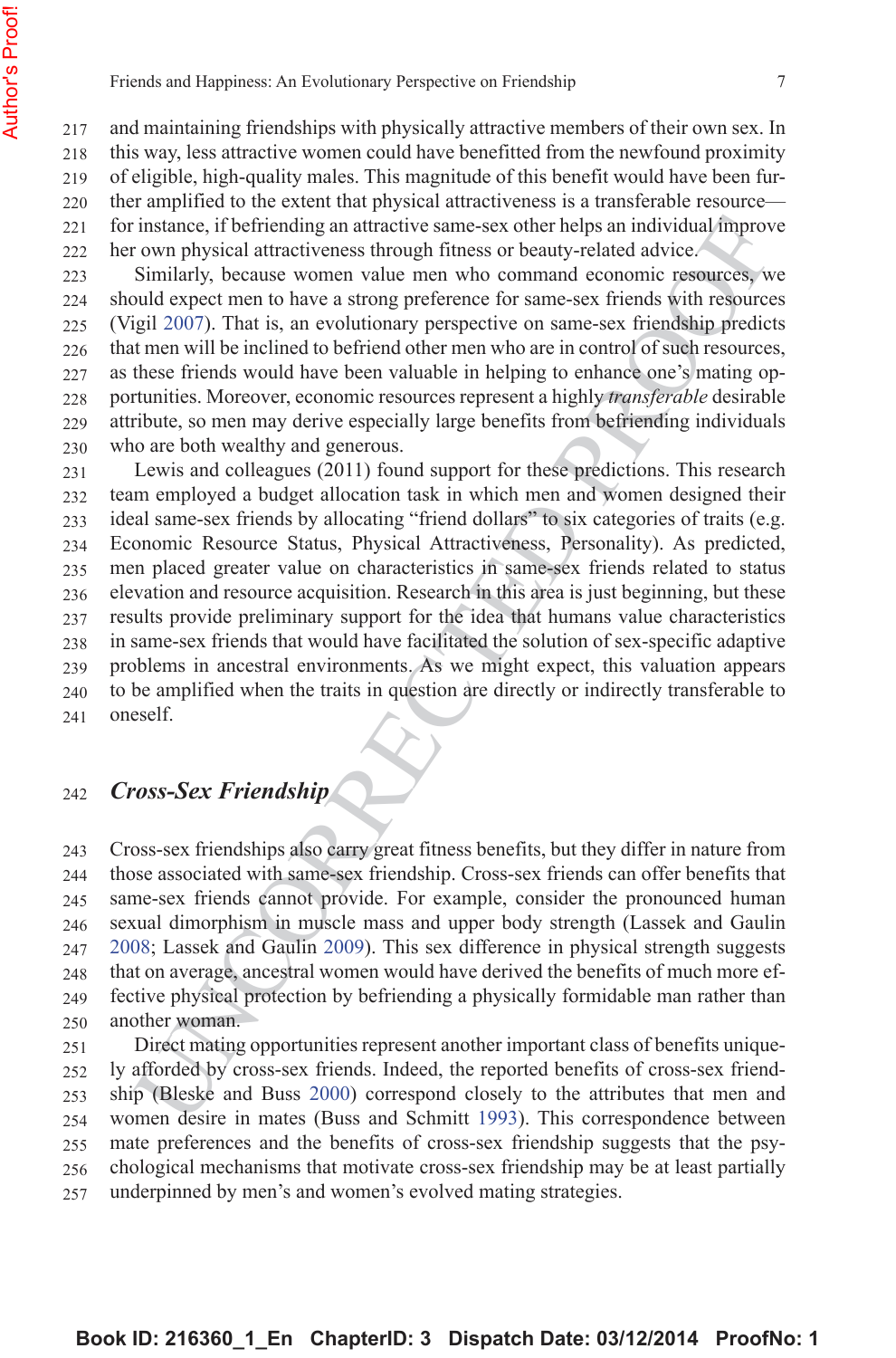- this way, less attractive women could have benefitted from the newfound proximity of eligible, high-quality males. This magnitude of this benefit would have been further amplified to the extent that physical attractiveness is a transferable resource— 217 218 219 220
- for instance, if befriending an attractive same-sex other helps an individual improve 221
- her own physical attractiveness through fitness or beauty-related advice. 222

Similarly, because women value men who command economic resources, we should expect men to have a strong preference for same-sex friends with resources (Vigil 2007). That is, an evolutionary perspective on same-sex friendship predicts that men will be inclined to befriend other men who are in control of such resources, as these friends would have been valuable in helping to enhance one's mating opportunities. Moreover, economic resources represent a highly *transferable* desirable attribute, so men may derive especially large benefits from befriending individuals who are both wealthy and generous. 223 224 225 226 227 228 229 230

instance, if befriending an attractive same-see other helps an individual fimport<br>own physical attractiveness through fimes or beauty-related advice.<br>Similarly, because women value men who command economic resources, we<br>si Lewis and colleagues (2011) found support for these predictions. This research team employed a budget allocation task in which men and women designed their ideal same-sex friends by allocating "friend dollars" to six categories of traits (e.g. Economic Resource Status, Physical Attractiveness, Personality). As predicted, men placed greater value on characteristics in same-sex friends related to status elevation and resource acquisition. Research in this area is just beginning, but these results provide preliminary support for the idea that humans value characteristics in same-sex friends that would have facilitated the solution of sex-specific adaptive problems in ancestral environments. As we might expect, this valuation appears to be amplified when the traits in question are directly or indirectly transferable to oneself. 231 232 233 234 235 236 237 238 239 240 241

# *Cross-Sex Friendship* 242

Cross-sex friendships also carry great fitness benefits, but they differ in nature from those associated with same-sex friendship. Cross-sex friends can offer benefits that same-sex friends cannot provide. For example, consider the pronounced human sexual dimorphism in muscle mass and upper body strength (Lassek and Gaulin [2008;](#page-18-9) Lassek and Gaulin 2009). This sex difference in physical strength suggests that on average, ancestral women would have derived the benefits of much more effective physical protection by befriending a physically formidable man rather than another woman. 243 244 245 246 247 248 249 250

Direct mating opportunities represent another important class of benefits uniquely afforded by cross-sex friends. Indeed, the reported benefits of cross-sex friendship (Bleske and Buss 2000) correspond closely to the attributes that men and women desire in mates (Buss and Schmitt 1993). This correspondence between mate preferences and the benefits of cross-sex friendship suggests that the psychological mechanisms that motivate cross-sex friendship may be at least partially underpinned by men's and women's evolved mating strategies. 251 252 253 254 255 256 257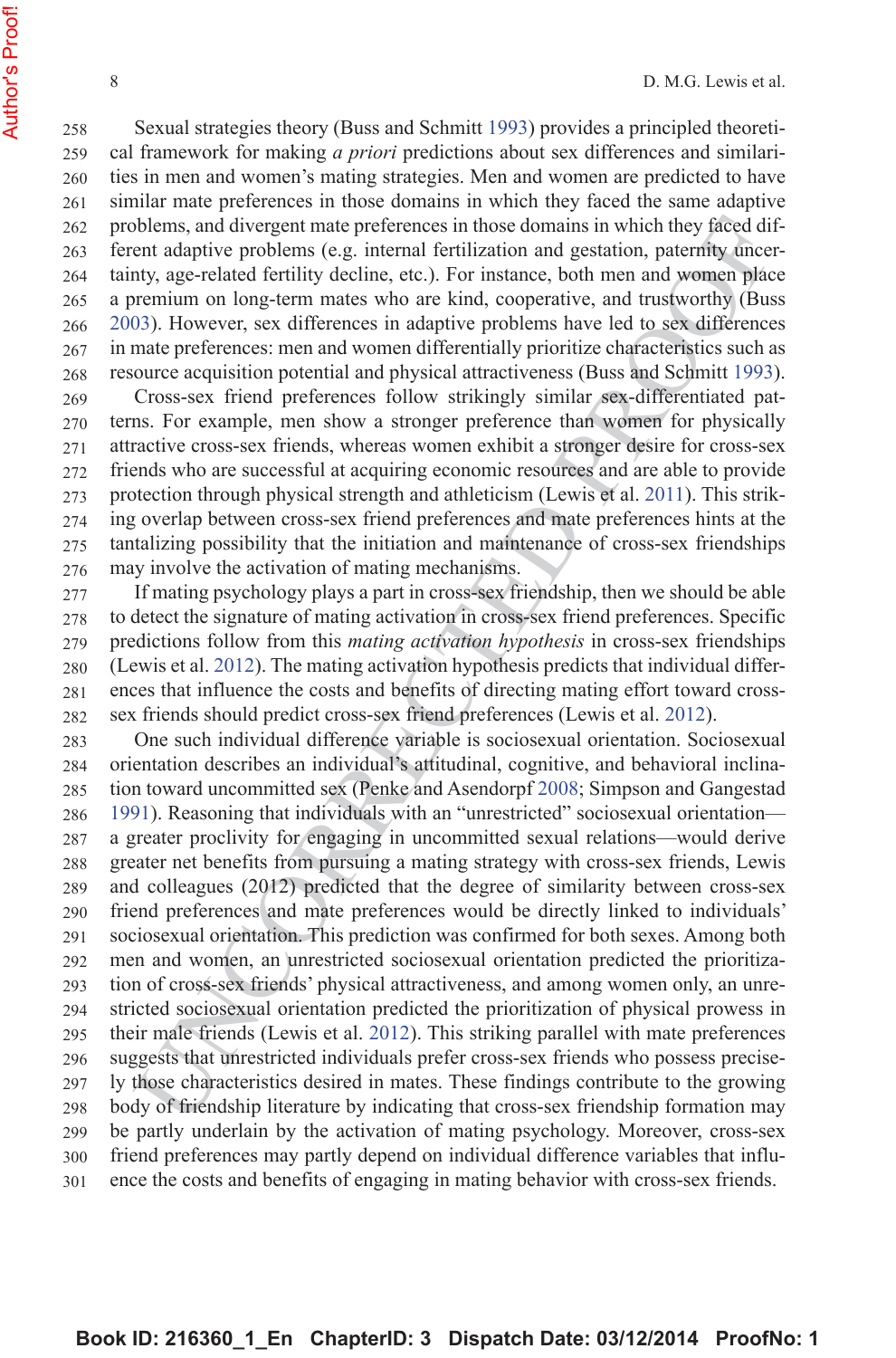267

Sexual strategies theory (Buss and Schmitt [1993](#page-16-8)) provides a principled theoretical framework for making *a priori* predictions about sex differences and similarities in men and women's mating strategies. Men and women are predicted to have similar mate preferences in those domains in which they faced the same adaptive problems, and divergent mate preferences in those domains in which they faced different adaptive problems (e.g. internal fertilization and gestation, paternity uncertainty, age-related fertility decline, etc.). For instance, both men and women place a premium on long-term mates who are kind, cooperative, and trustworthy (Buss [2003\)](#page-16-10). However, sex differences in adaptive problems have led to sex differences 258 259 260 261 262 263 264 265 266

resource acquisition potential and physical attractiveness (Buss and Schmitt 1993). Cross-sex friend preferences follow strikingly similar sex-differentiated patterns. For example, men show a stronger preference than women for physically attractive cross-sex friends, whereas women exhibit a stronger desire for cross-sex friends who are successful at acquiring economic resources and are able to provide protection through physical strength and athleticism (Lewis et al. 2011). This striking overlap between cross-sex friend preferences and mate preferences hints at the tantalizing possibility that the initiation and maintenance of cross-sex friendships may involve the activation of mating mechanisms. 268 269 270 271 272 273 274 275 276

in mate preferences: men and women differentially prioritize characteristics such as

If mating psychology plays a part in cross-sex friendship, then we should be able to detect the signature of mating activation in cross-sex friend preferences. Specific predictions follow from this *mating activation hypothesis* in cross-sex friendships (Lewis et al. 2012). The mating activation hypothesis predicts that individual differences that influence the costs and benefits of directing mating effort toward crosssex friends should predict cross-sex friend preferences (Lewis et al. 2012). 277 278 279 280 281 282

blems, and divergent mate perferences in those dominas in which they faced different<br>perferant and perferant perferences in these dominas in which they faced differently, age-related fertility decline, etc.). For instance, One such individual difference variable is sociosexual orientation. Sociosexual orientation describes an individual's attitudinal, cognitive, and behavioral inclination toward uncommitted sex (Penke and Asendorpf 2008; Simpson and Gangestad [1991\)](#page-19-16). Reasoning that individuals with an "unrestricted" sociosexual orientation a greater proclivity for engaging in uncommitted sexual relations—would derive greater net benefits from pursuing a mating strategy with cross-sex friends, Lewis and colleagues (2012) predicted that the degree of similarity between cross-sex friend preferences and mate preferences would be directly linked to individuals' sociosexual orientation. This prediction was confirmed for both sexes. Among both men and women, an unrestricted sociosexual orientation predicted the prioritization of cross-sex friends' physical attractiveness, and among women only, an unrestricted sociosexual orientation predicted the prioritization of physical prowess in their male friends (Lewis et al. 2012). This striking parallel with mate preferences suggests that unrestricted individuals prefer cross-sex friends who possess precisely those characteristics desired in mates. These findings contribute to the growing body of friendship literature by indicating that cross-sex friendship formation may be partly underlain by the activation of mating psychology. Moreover, cross-sex friend preferences may partly depend on individual difference variables that influence the costs and benefits of engaging in mating behavior with cross-sex friends. 283 284 285 286 287 288 289 290 291 292 293 294 295 296 297 298 299 300 301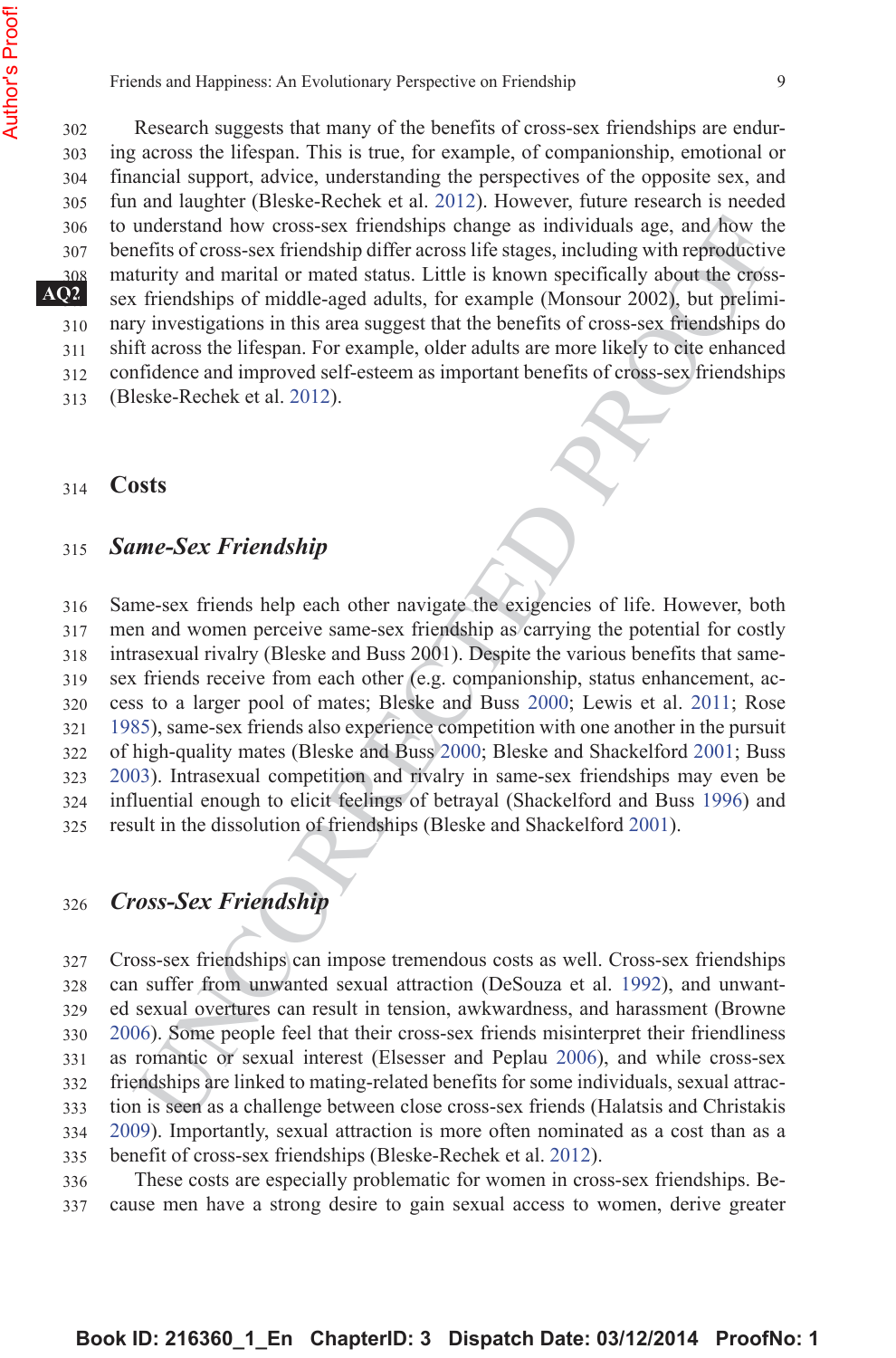Research suggests that many of the benefits of cross-sex friendships are enduring across the lifespan. This is true, for example, of companionship, emotional or financial support, advice, understanding the perspectives of the opposite sex, and fun and laughter (Bleske-Rechek et al. [2012\)](#page-16-11). However, future research is needed to understand how cross-sex friendships change as individuals age, and how the benefits of cross-sex friendship differ across life stages, including with reproductive maturity and marital or mated status. Little is known specifically about the crosssex friendships of middle-aged adults, for example (Monsour 2002), but preliminary investigations in this area suggest that the benefits of cross-sex friendships do shift across the lifespan. For example, older adults are more likely to cite enhanced confidence and improved self-esteem as important benefits of cross-sex friendships (Bleske-Rechek et al. 2012). **AQ2** 302 303 304 305 306 307 308 310 311 312 313

#### **Costs** 314

#### *Same-Sex Friendship* 315

understand have cross-sex friendships change as individuals age, and folow the<br>nefits of cross-sex friendship differ across life stages, including with reproductive<br>turity and marital or mated status. Little is known speci Same-sex friends help each other navigate the exigencies of life. However, both men and women perceive same-sex friendship as carrying the potential for costly intrasexual rivalry (Bleske and Buss 2001). Despite the various benefits that samesex friends receive from each other (e.g. companionship, status enhancement, access to a larger pool of mates; Bleske and Buss 2000; Lewis et al. 2011; Rose [1985\)](#page-19-13), same-sex friends also experience competition with one another in the pursuit of high-quality mates (Bleske and Buss 2000; Bleske and Shackelford 2001; Buss [2003\)](#page-16-10). Intrasexual competition and rivalry in same-sex friendships may even be influential enough to elicit feelings of betrayal (Shackelford and Buss 1996) and result in the dissolution of friendships (Bleske and Shackelford 2001). 316 317 318 319 320 321 322 323 324 325

# *Cross-Sex Friendship* 326

Cross-sex friendships can impose tremendous costs as well. Cross-sex friendships can suffer from unwanted sexual attraction (DeSouza et al. 1992), and unwanted sexual overtures can result in tension, awkwardness, and harassment (Browne [2006\)](#page-16-13). Some people feel that their cross-sex friends misinterpret their friendliness as romantic or sexual interest (Elsesser and Peplau 2006), and while cross-sex friendships are linked to mating-related benefits for some individuals, sexual attraction is seen as a challenge between close cross-sex friends (Halatsis and Christakis [2009\)](#page-17-11). Importantly, sexual attraction is more often nominated as a cost than as a benefit of cross-sex friendships (Bleske-Rechek et al. [2012\)](#page-16-11). 327 328 329 330 331 332 333 334 335

These costs are especially problematic for women in cross-sex friendships. Because men have a strong desire to gain sexual access to women, derive greater 336 337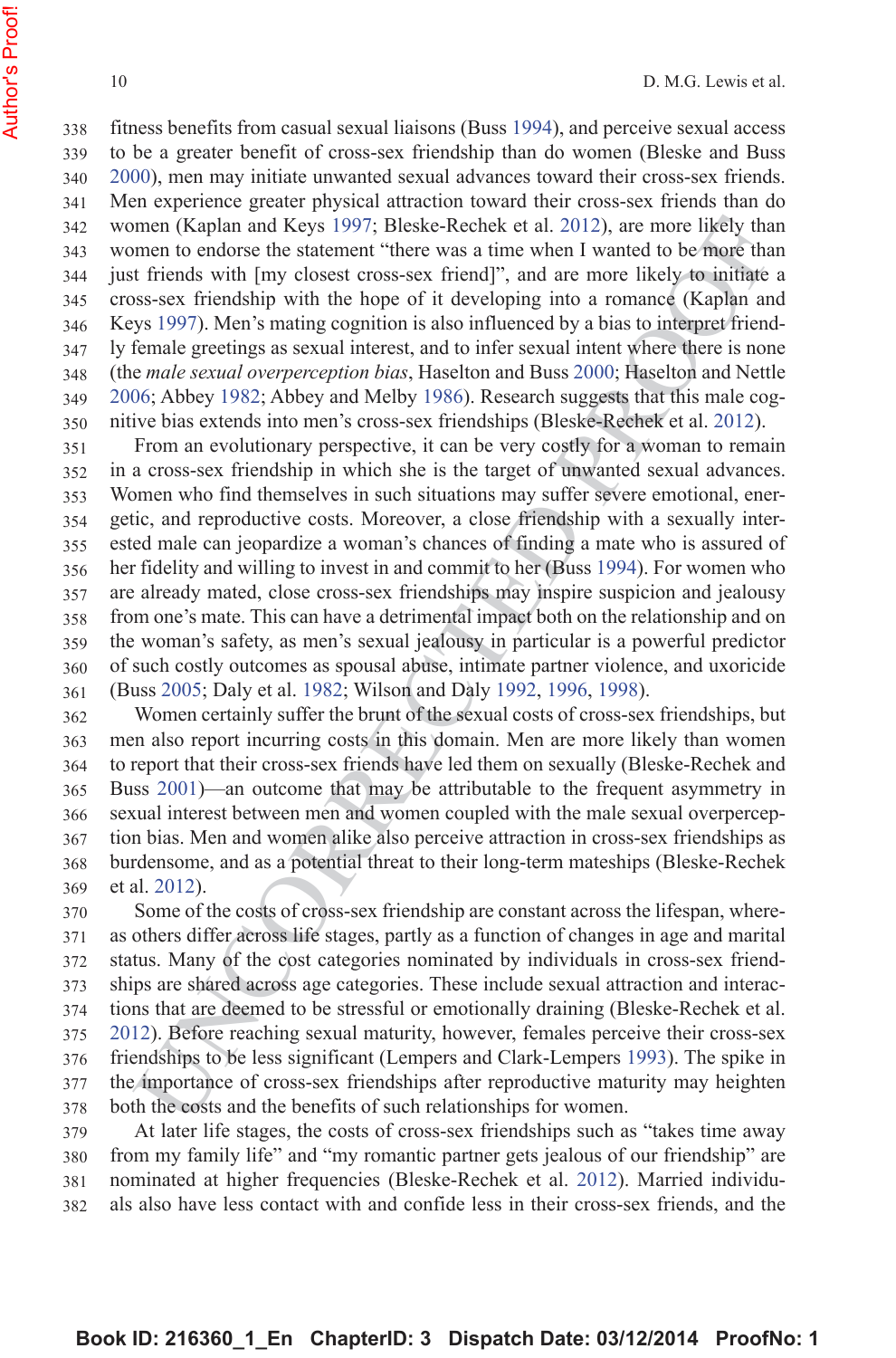fitness benefits from casual sexual liaisons (Buss [1994](#page-16-14)), and perceive sexual access to be a greater benefit of cross-sex friendship than do women (Bleske and Buss [2000\)](#page-16-5), men may initiate unwanted sexual advances toward their cross-sex friends. Men experience greater physical attraction toward their cross-sex friends than do women (Kaplan and Keys 1997; Bleske-Rechek et al. 2012), are more likely than women to endorse the statement "there was a time when I wanted to be more than just friends with [my closest cross-sex friend]", and are more likely to initiate a cross-sex friendship with the hope of it developing into a romance (Kaplan and Keys 1997). Men's mating cognition is also influenced by a bias to interpret friendly female greetings as sexual interest, and to infer sexual intent where there is none (the *male sexual overperception bias*, Haselton and Buss 2000; Haselton and Nettle 338 339 340 341 342 343 344 345 346 347 348

[2006;](#page-17-13) Abbey 1982; Abbey and Melby 1986). Research suggests that this male cognitive bias extends into men's cross-sex friendships (Bleske-Rechek et al. 2012). 349 350

men (Kaplan and Keys) 1997; Bleske-Rebek et al. 2012), are more likely that for the more. [T](#page-20-2)he more in the proper than the statement "there was a time when I wanted to be more likely to miling the fired with finy closest c From an evolutionary perspective, it can be very costly for a woman to remain in a cross-sex friendship in which she is the target of unwanted sexual advances. Women who find themselves in such situations may suffer severe emotional, energetic, and reproductive costs. Moreover, a close friendship with a sexually interested male can jeopardize a woman's chances of finding a mate who is assured of her fidelity and willing to invest in and commit to her (Buss 1994). For women who are already mated, close cross-sex friendships may inspire suspicion and jealousy from one's mate. This can have a detrimental impact both on the relationship and on the woman's safety, as men's sexual jealousy in particular is a powerful predictor of such costly outcomes as spousal abuse, intimate partner violence, and uxoricide (Buss 2005; Daly et al. 1982; Wilson and Daly 1992, 1996, 1998). 351 352 353 354 355 356 357 358 359 360 361

Women certainly suffer the brunt of the sexual costs of cross-sex friendships, but men also report incurring costs in this domain. Men are more likely than women to report that their cross-sex friends have led them on sexually (Bleske-Rechek and Buss 2001)—an outcome that may be attributable to the frequent asymmetry in sexual interest between men and women coupled with the male sexual overperception bias. Men and women alike also perceive attraction in cross-sex friendships as burdensome, and as a potential threat to their long-term mateships (Bleske-Rechek et al. 2012). 362 363 364 365 366 367 368 369

Some of the costs of cross-sex friendship are constant across the lifespan, whereas others differ across life stages, partly as a function of changes in age and marital status. Many of the cost categories nominated by individuals in cross-sex friendships are shared across age categories. These include sexual attraction and interactions that are deemed to be stressful or emotionally draining (Bleske-Rechek et al. [2012\)](#page-16-11). Before reaching sexual maturity, however, females perceive their cross-sex friendships to be less significant (Lempers and Clark-Lempers 1993). The spike in the importance of cross-sex friendships after reproductive maturity may heighten both the costs and the benefits of such relationships for women. 370 371 372 373 374 375 376 377 378

At later life stages, the costs of cross-sex friendships such as "takes time away from my family life" and "my romantic partner gets jealous of our friendship" are nominated at higher frequencies (Bleske-Rechek et al. [2012](#page-16-11)). Married individuals also have less contact with and confide less in their cross-sex friends, and the 379 380 381 382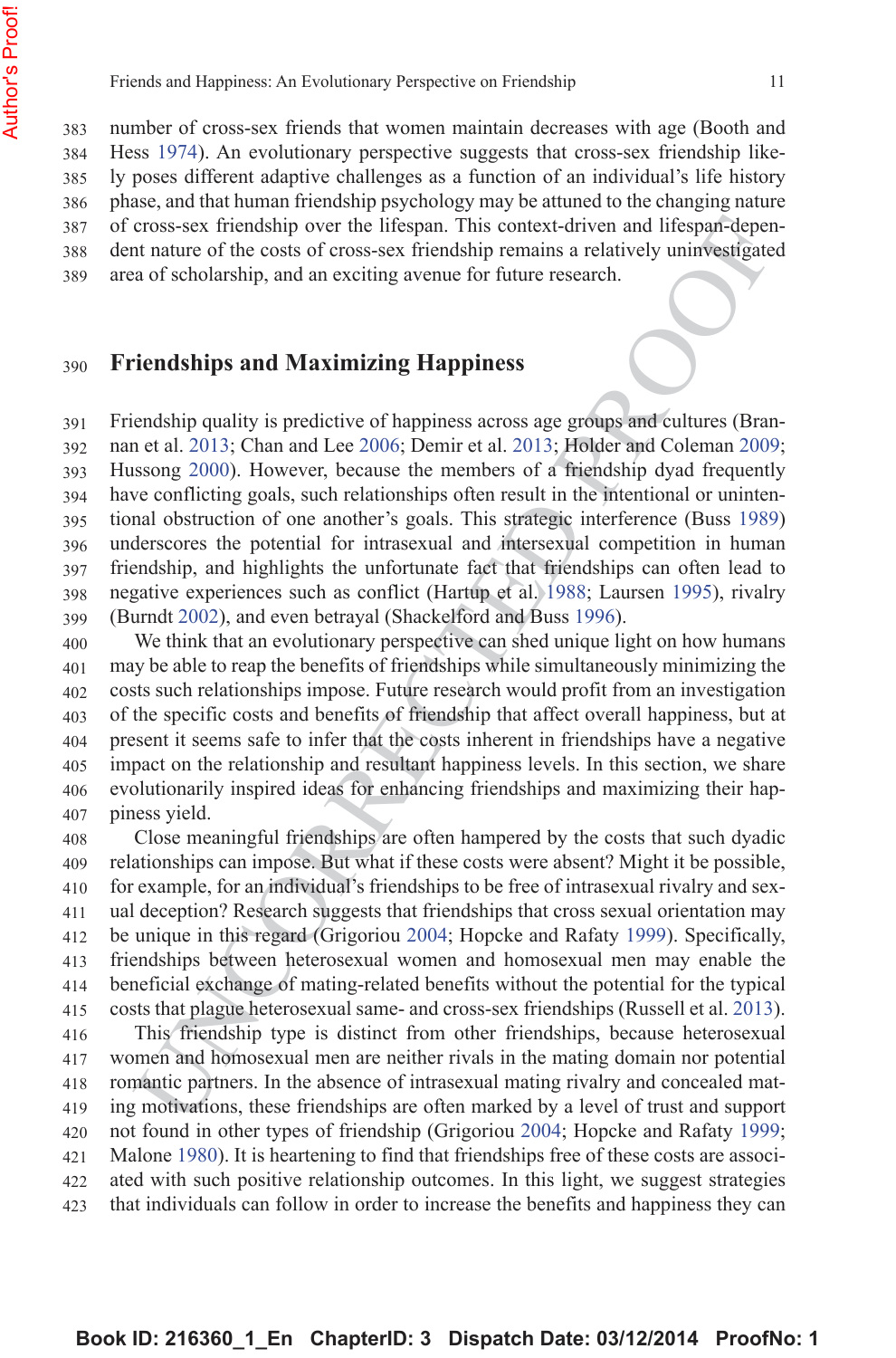Friends and Happiness: An Evolutionary Perspective on Friendship 11

number of cross-sex friends that women maintain decreases with age (Booth and Hess [1974](#page-16-17)). An evolutionary perspective suggests that cross-sex friendship likely poses different adaptive challenges as a function of an individual's life history phase, and that human friendship psychology may be attuned to the changing nature of cross-sex friendship over the lifespan. This context-driven and lifespan-dependent nature of the costs of cross-sex friendship remains a relatively uninvestigated 383 384 385 386 387 388

area of scholarship, and an exciting avenue for future research. 389

#### **Friendships and Maximizing Happiness** 390

Friendship quality is predictive of happiness across age groups and cultures (Brannan et al. 2013; Chan and Lee 2006; Demir et al. 2013; Holder and Coleman 2009; Hussong 2000). However, because the members of a friendship dyad frequently have conflicting goals, such relationships often result in the intentional or unintentional obstruction of one another's goals. This strategic interference (Buss 1989) underscores the potential for intrasexual and intersexual competition in human friendship, and highlights the unfortunate fact that friendships can often lead to negative experiences such as conflict (Hartup et al. 1988; Laursen 1995), rivalry (Burndt 2002), and even betrayal (Shackelford and Buss 1996). 391 392 393 394 395 396 397 398 399

We think that an evolutionary perspective can shed unique light on how humans may be able to reap the benefits of friendships while simultaneously minimizing the costs such relationships impose. Future research would profit from an investigation of the specific costs and benefits of friendship that affect overall happiness, but at present it seems safe to infer that the costs inherent in friendships have a negative impact on the relationship and resultant happiness levels. In this section, we share evolutionarily inspired ideas for enhancing friendships and maximizing their happiness yield. 400 401 402 403 404 405 406 407

cross-sex friendship over the lifespan. This context-driven and lifespar-dependent<br>at nature of the costs of cross-sex friendship remains a relatively uninvestigate<br>a of scholarship, and an exciting avenue for future resea Close meaningful friendships are often hampered by the costs that such dyadic relationships can impose. But what if these costs were absent? Might it be possible, for example, for an individual's friendships to be free of intrasexual rivalry and sexual deception? Research suggests that friendships that cross sexual orientation may be unique in this regard (Grigoriou 2004; Hopcke and Rafaty 1999). Specifically, friendships between heterosexual women and homosexual men may enable the beneficial exchange of mating-related benefits without the potential for the typical costs that plague heterosexual same- and cross-sex friendships (Russell et al. 2013). This friendship type is distinct from other friendships, because heterosexual women and homosexual men are neither rivals in the mating domain nor potential romantic partners. In the absence of intrasexual mating rivalry and concealed mating motivations, these friendships are often marked by a level of trust and support not found in other types of friendship (Grigoriou [2004;](#page-17-16) Hopcke and Rafaty [1999;](#page-18-16) Malone [1980\)](#page-19-18). It is heartening to find that friendships free of these costs are associated with such positive relationship outcomes. In this light, we suggest strategies that individuals can follow in order to increase the benefits and happiness they can 408 409 410 411 412 413 414 415 416 417 418 419 420 421 422 423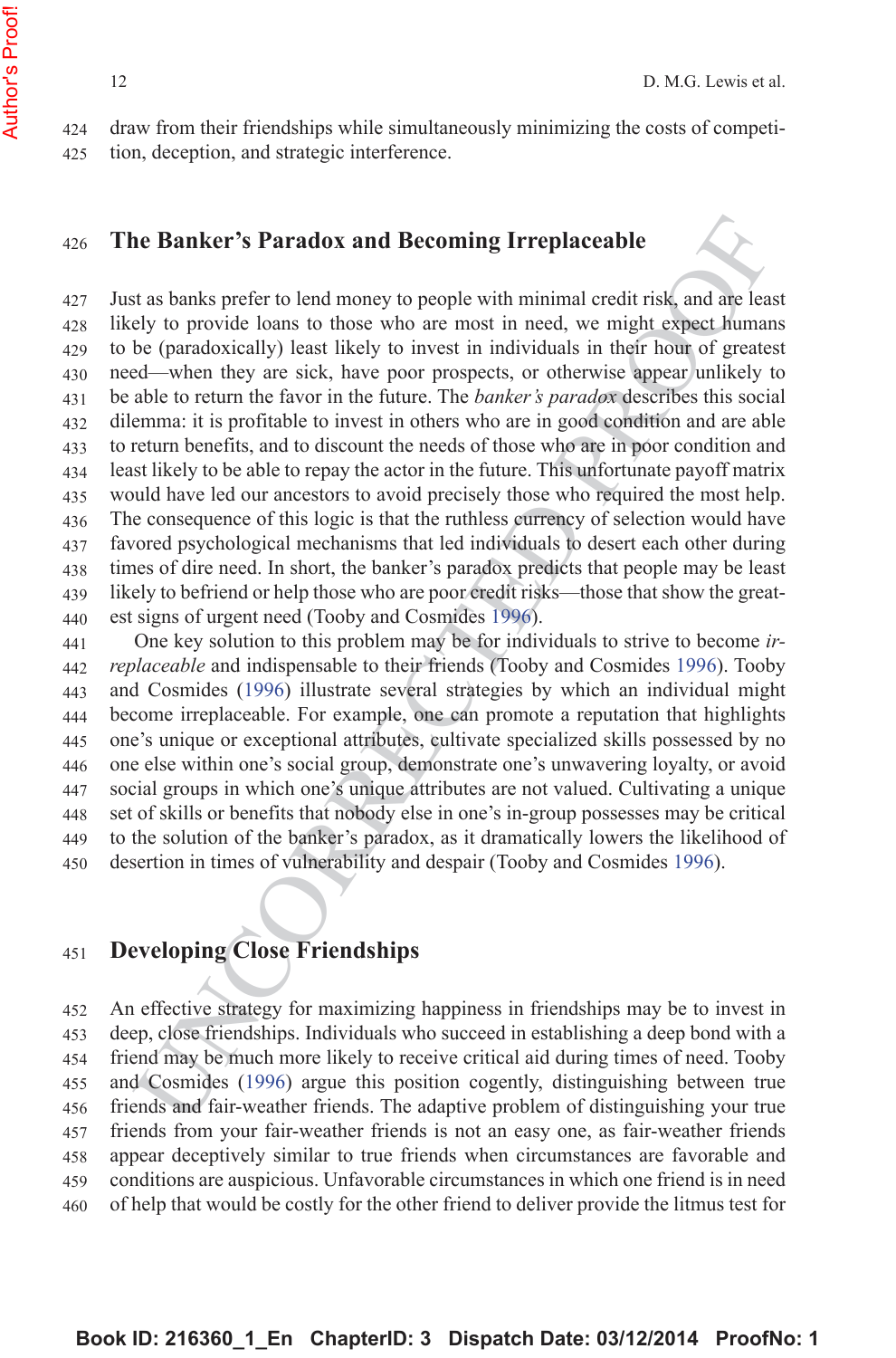# **The Banker's Paradox and Becoming Irreplaceable** 426

**he Banker's Paradox and Becoming Irreplaceable**<br>
at as banks prefer to lend money to people with minimal credit risk, and are leasely to provide loans to those who are most in need, we might expect humane (be (paradoxica Just as banks prefer to lend money to people with minimal credit risk, and are least likely to provide loans to those who are most in need, we might expect humans to be (paradoxically) least likely to invest in individuals in their hour of greatest need—when they are sick, have poor prospects, or otherwise appear unlikely to be able to return the favor in the future. The *banker's paradox* describes this social dilemma: it is profitable to invest in others who are in good condition and are able to return benefits, and to discount the needs of those who are in poor condition and least likely to be able to repay the actor in the future. This unfortunate payoff matrix would have led our ancestors to avoid precisely those who required the most help. The consequence of this logic is that the ruthless currency of selection would have favored psychological mechanisms that led individuals to desert each other during times of dire need. In short, the banker's paradox predicts that people may be least likely to befriend or help those who are poor credit risks—those that show the greatest signs of urgent need (Tooby and Cosmides 1996). 427 428 429 430 431 432 433 434 435 436 437 438 439 440

One key solution to this problem may be for individuals to strive to become *irreplaceable* and indispensable to their friends (Tooby and Cosmides 1996). Tooby and Cosmides (1996) illustrate several strategies by which an individual might become irreplaceable. For example, one can promote a reputation that highlights one's unique or exceptional attributes, cultivate specialized skills possessed by no one else within one's social group, demonstrate one's unwavering loyalty, or avoid social groups in which one's unique attributes are not valued. Cultivating a unique set of skills or benefits that nobody else in one's in-group possesses may be critical to the solution of the banker's paradox, as it dramatically lowers the likelihood of desertion in times of vulnerability and despair (Tooby and Cosmides 1996). 441 442 443 444 445 446 447 448 449 450

# **Developing Close Friendships** 451

An effective strategy for maximizing happiness in friendships may be to invest in deep, close friendships. Individuals who succeed in establishing a deep bond with a friend may be much more likely to receive critical aid during times of need. Tooby and Cosmides (1996) argue this position cogently, distinguishing between true friends and fair-weather friends. The adaptive problem of distinguishing your true friends from your fair-weather friends is not an easy one, as fair-weather friends appear deceptively similar to true friends when circumstances are favorable and conditions are auspicious. Unfavorable circumstances in which one friend is in need of help that would be costly for the other friend to deliver provide the litmus test for 452 453 454 455 456 457 458 459 460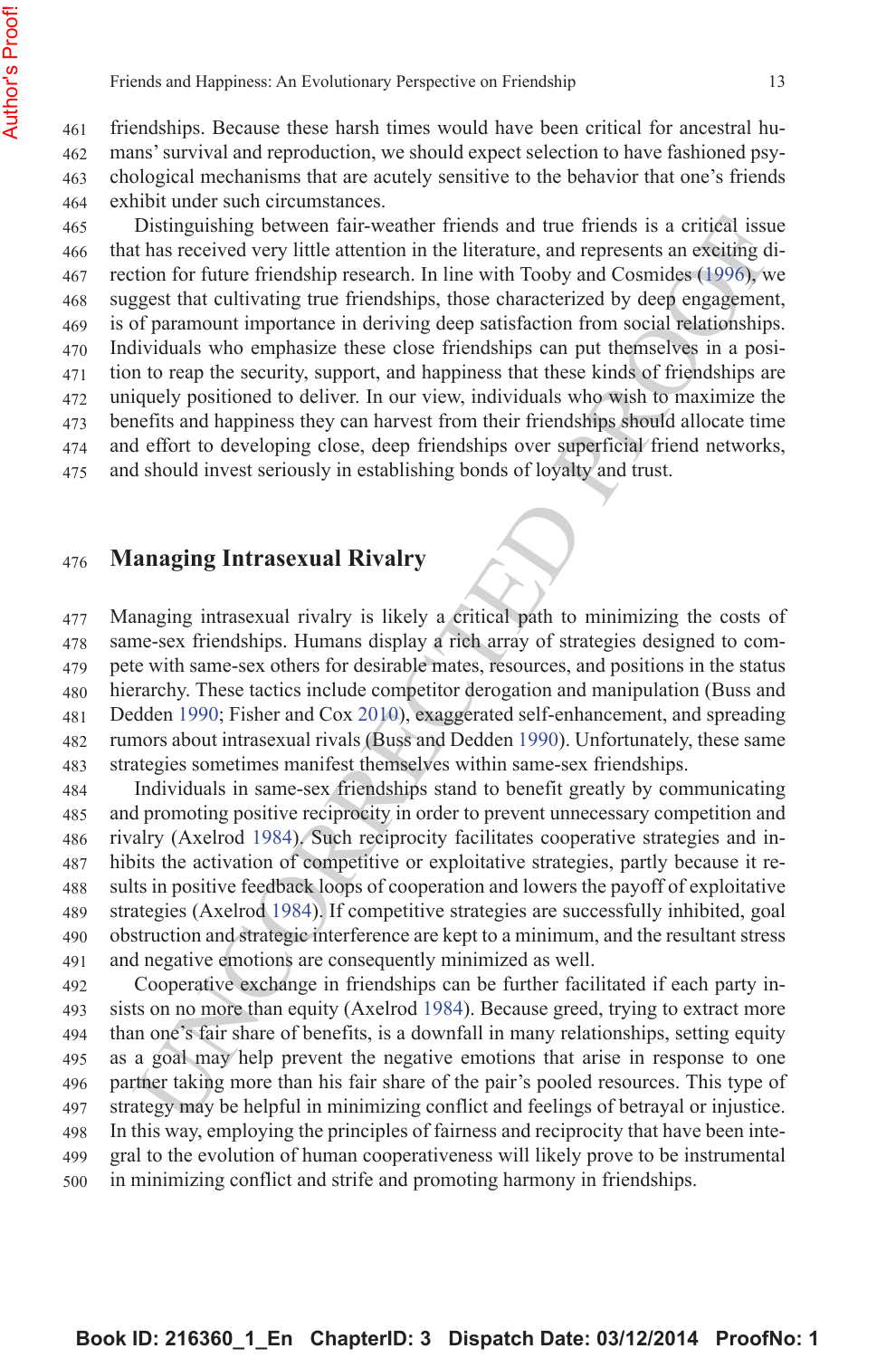friendships. Because these harsh times would have been critical for ancestral humans' survival and reproduction, we should expect selection to have fashioned psychological mechanisms that are acutely sensitive to the behavior that one's friends exhibit under such circumstances. 461 462 463 464

Distinguishing between fair-weather friends and true friends as a critical issue comparities.<br>This received very little attention in the literature, and represents an exciting divin for future friendship research. In line Distinguishing between fair-weather friends and true friends is a critical issue that has received very little attention in the literature, and represents an exciting direction for future friendship research. In line with Tooby and Cosmides (1996), we suggest that cultivating true friendships, those characterized by deep engagement, is of paramount importance in deriving deep satisfaction from social relationships. Individuals who emphasize these close friendships can put themselves in a position to reap the security, support, and happiness that these kinds of friendships are uniquely positioned to deliver. In our view, individuals who wish to maximize the benefits and happiness they can harvest from their friendships should allocate time and effort to developing close, deep friendships over superficial friend networks, and should invest seriously in establishing bonds of loyalty and trust. 465 466 467 468 469 470 471 472 473 474 475

## **Managing Intrasexual Rivalry** 476

Managing intrasexual rivalry is likely a critical path to minimizing the costs of same-sex friendships. Humans display a rich array of strategies designed to compete with same-sex others for desirable mates, resources, and positions in the status hierarchy. These tactics include competitor derogation and manipulation (Buss and Dedden 1990; Fisher and Cox 2010), exaggerated self-enhancement, and spreading rumors about intrasexual rivals (Buss and Dedden 1990). Unfortunately, these same strategies sometimes manifest themselves within same-sex friendships. 477 478 479 480 481 482 483

Individuals in same-sex friendships stand to benefit greatly by communicating and promoting positive reciprocity in order to prevent unnecessary competition and rivalry (Axelrod 1984). Such reciprocity facilitates cooperative strategies and inhibits the activation of competitive or exploitative strategies, partly because it results in positive feedback loops of cooperation and lowers the payoff of exploitative strategies (Axelrod 1984). If competitive strategies are successfully inhibited, goal obstruction and strategic interference are kept to a minimum, and the resultant stress and negative emotions are consequently minimized as well. 484 485 486 487 488 489 490 491

Cooperative exchange in friendships can be further facilitated if each party insists on no more than equity (Axelrod 1984). Because greed, trying to extract more than one's fair share of benefits, is a downfall in many relationships, setting equity as a goal may help prevent the negative emotions that arise in response to one partner taking more than his fair share of the pair's pooled resources. This type of strategy may be helpful in minimizing conflict and feelings of betrayal or injustice. In this way, employing the principles of fairness and reciprocity that have been integral to the evolution of human cooperativeness will likely prove to be instrumental 492 493 494 495 496 497 498 499

in minimizing conflict and strife and promoting harmony in friendships. 500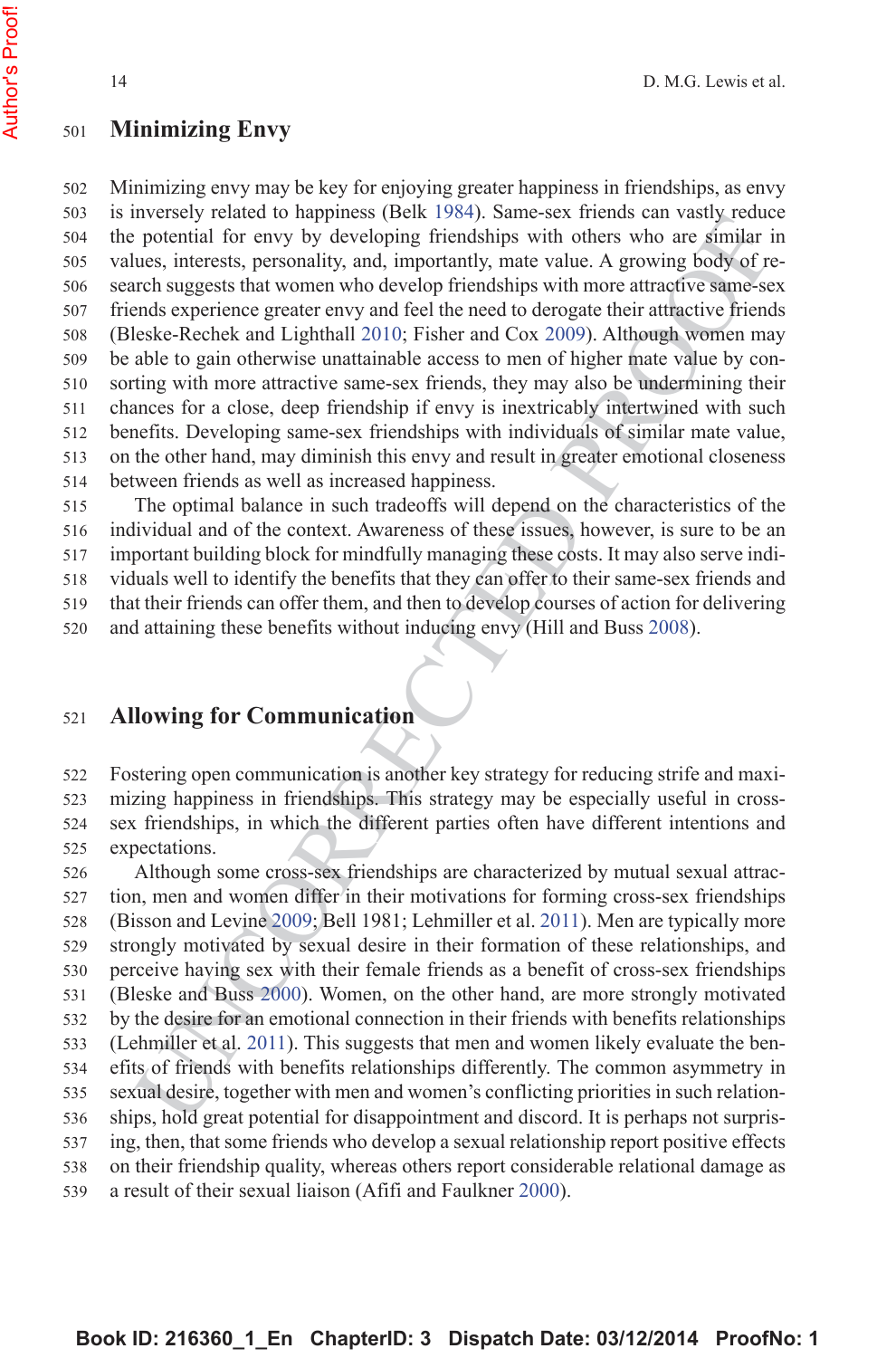## **Minimizing Envy** 501

Extended for envy and dimension and the mean case that the same of the positive product is perceptial for envy by developing friendships with others who are similar inclusive, and similar incelus, interpretision product th Minimizing envy may be key for enjoying greater happiness in friendships, as envy is inversely related to happiness (Belk [1984\)](#page-15-9). Same-sex friends can vastly reduce the potential for envy by developing friendships with others who are similar in values, interests, personality, and, importantly, mate value. A growing body of research suggests that women who develop friendships with more attractive same-sex friends experience greater envy and feel the need to derogate their attractive friends (Bleske-Rechek and Lighthall 2010; Fisher and Cox 2009). Although women may be able to gain otherwise unattainable access to men of higher mate value by consorting with more attractive same-sex friends, they may also be undermining their chances for a close, deep friendship if envy is inextricably intertwined with such benefits. Developing same-sex friendships with individuals of similar mate value, on the other hand, may diminish this envy and result in greater emotional closeness between friends as well as increased happiness. 502 503 504 505 506 507 508 509 510 511 512 513 514

The optimal balance in such tradeoffs will depend on the characteristics of the individual and of the context. Awareness of these issues, however, is sure to be an important building block for mindfully managing these costs. It may also serve indi-515 516 517

viduals well to identify the benefits that they can offer to their same-sex friends and 518

that their friends can offer them, and then to develop courses of action for delivering 519

and attaining these benefits without inducing envy (Hill and Buss 2008). 520

## **Allowing for Communication** 521

Fostering open communication is another key strategy for reducing strife and maximizing happiness in friendships. This strategy may be especially useful in crosssex friendships, in which the different parties often have different intentions and expectations. 522 523 524 525

Although some cross-sex friendships are characterized by mutual sexual attraction, men and women differ in their motivations for forming cross-sex friendships (Bisson and Levine 2009; Bell 1981; Lehmiller et al. 2011). Men are typically more strongly motivated by sexual desire in their formation of these relationships, and perceive having sex with their female friends as a benefit of cross-sex friendships (Bleske and Buss 2000). Women, on the other hand, are more strongly motivated by the desire for an emotional connection in their friends with benefits relationships (Lehmiller et al. 2011). This suggests that men and women likely evaluate the benefits of friends with benefits relationships differently. The common asymmetry in sexual desire, together with men and women's conflicting priorities in such relationships, hold great potential for disappointment and discord. It is perhaps not surprising, then, that some friends who develop a sexual relationship report positive effects on their friendship quality, whereas others report considerable relational damage as a result of their sexual liaison (Afifi and Faulkner [2000\)](#page-15-6). 526 527 528 529 530 531 532 533 534 535 536 537 538 539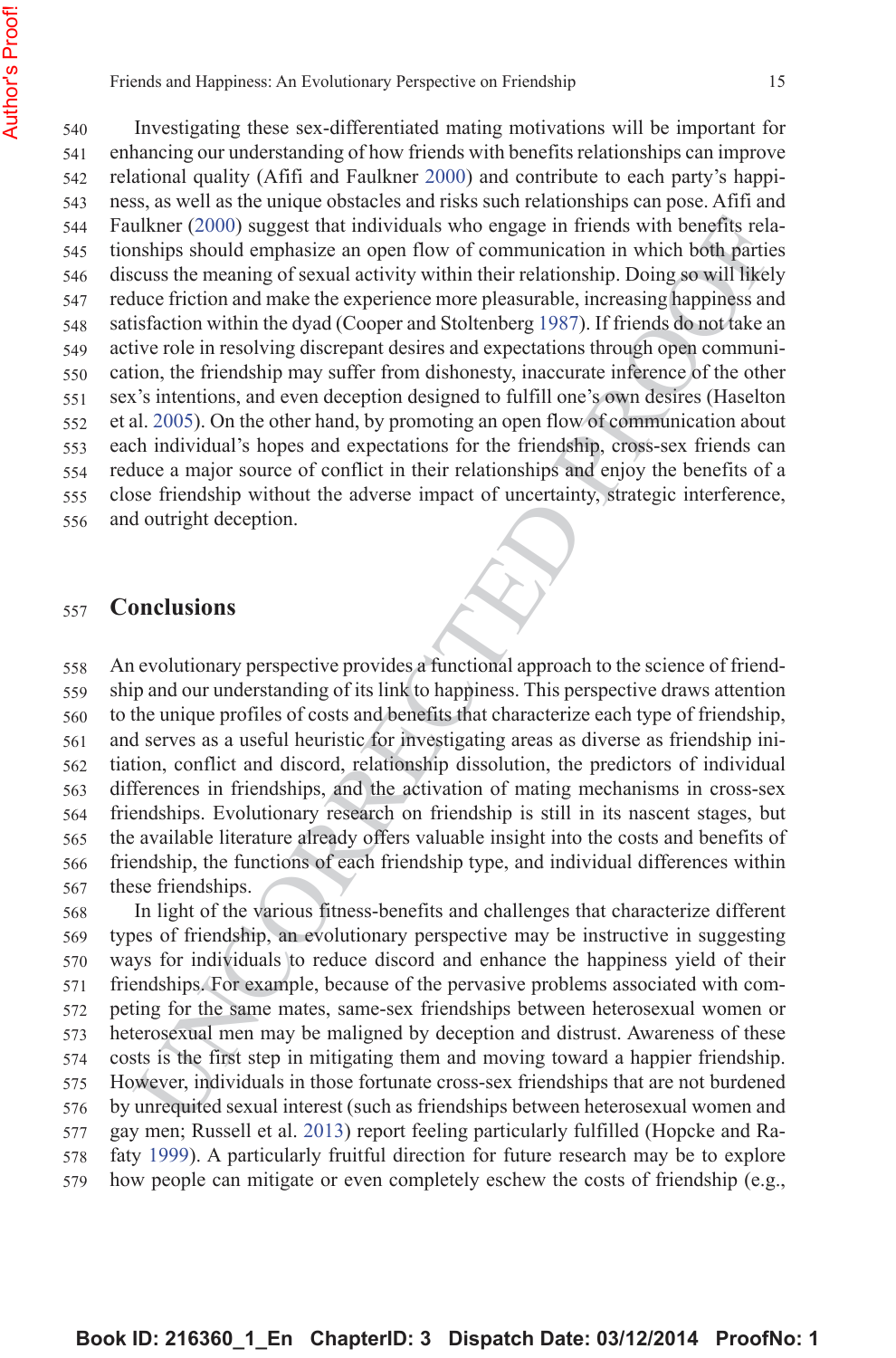ulkner (2000) suggest that inivividuals who engage in friends whith benefits relationshines shown the most particular whom the particular shown that inividual shown the meaning of sexual activity within their relationship. Investigating these sex-differentiated mating motivations will be important for enhancing our understanding of how friends with benefits relationships can improve relational quality (Afifi and Faulkner [2000\)](#page-15-6) and contribute to each party's happiness, as well as the unique obstacles and risks such relationships can pose. Afifi and Faulkner (2000) suggest that individuals who engage in friends with benefits relationships should emphasize an open flow of communication in which both parties discuss the meaning of sexual activity within their relationship. Doing so will likely reduce friction and make the experience more pleasurable, increasing happiness and satisfaction within the dyad (Cooper and Stoltenberg 1987). If friends do not take an active role in resolving discrepant desires and expectations through open communication, the friendship may suffer from dishonesty, inaccurate inference of the other sex's intentions, and even deception designed to fulfill one's own desires (Haselton et al. 2005). On the other hand, by promoting an open flow of communication about each individual's hopes and expectations for the friendship, cross-sex friends can reduce a major source of conflict in their relationships and enjoy the benefits of a close friendship without the adverse impact of uncertainty, strategic interference, 540 541 542 543 544 545 546 547 548 549 550 551 552 553 554 555

and outright deception. 556

## **Conclusions** 557

An evolutionary perspective provides a functional approach to the science of friendship and our understanding of its link to happiness. This perspective draws attention to the unique profiles of costs and benefits that characterize each type of friendship, and serves as a useful heuristic for investigating areas as diverse as friendship initiation, conflict and discord, relationship dissolution, the predictors of individual differences in friendships, and the activation of mating mechanisms in cross-sex friendships. Evolutionary research on friendship is still in its nascent stages, but the available literature already offers valuable insight into the costs and benefits of friendship, the functions of each friendship type, and individual differences within these friendships. 558 559 560 561 562 563 564 565 566 567

In light of the various fitness-benefits and challenges that characterize different types of friendship, an evolutionary perspective may be instructive in suggesting ways for individuals to reduce discord and enhance the happiness yield of their friendships. For example, because of the pervasive problems associated with competing for the same mates, same-sex friendships between heterosexual women or heterosexual men may be maligned by deception and distrust. Awareness of these costs is the first step in mitigating them and moving toward a happier friendship. However, individuals in those fortunate cross-sex friendships that are not burdened by unrequited sexual interest (such as friendships between heterosexual women and gay men; Russell et al. [2013\)](#page-19-17) report feeling particularly fulfilled (Hopcke and Rafaty [1999\)](#page-18-16). A particularly fruitful direction for future research may be to explore how people can mitigate or even completely eschew the costs of friendship (e.g., 568 569 570 571 572 573 574 575 576 577 578 579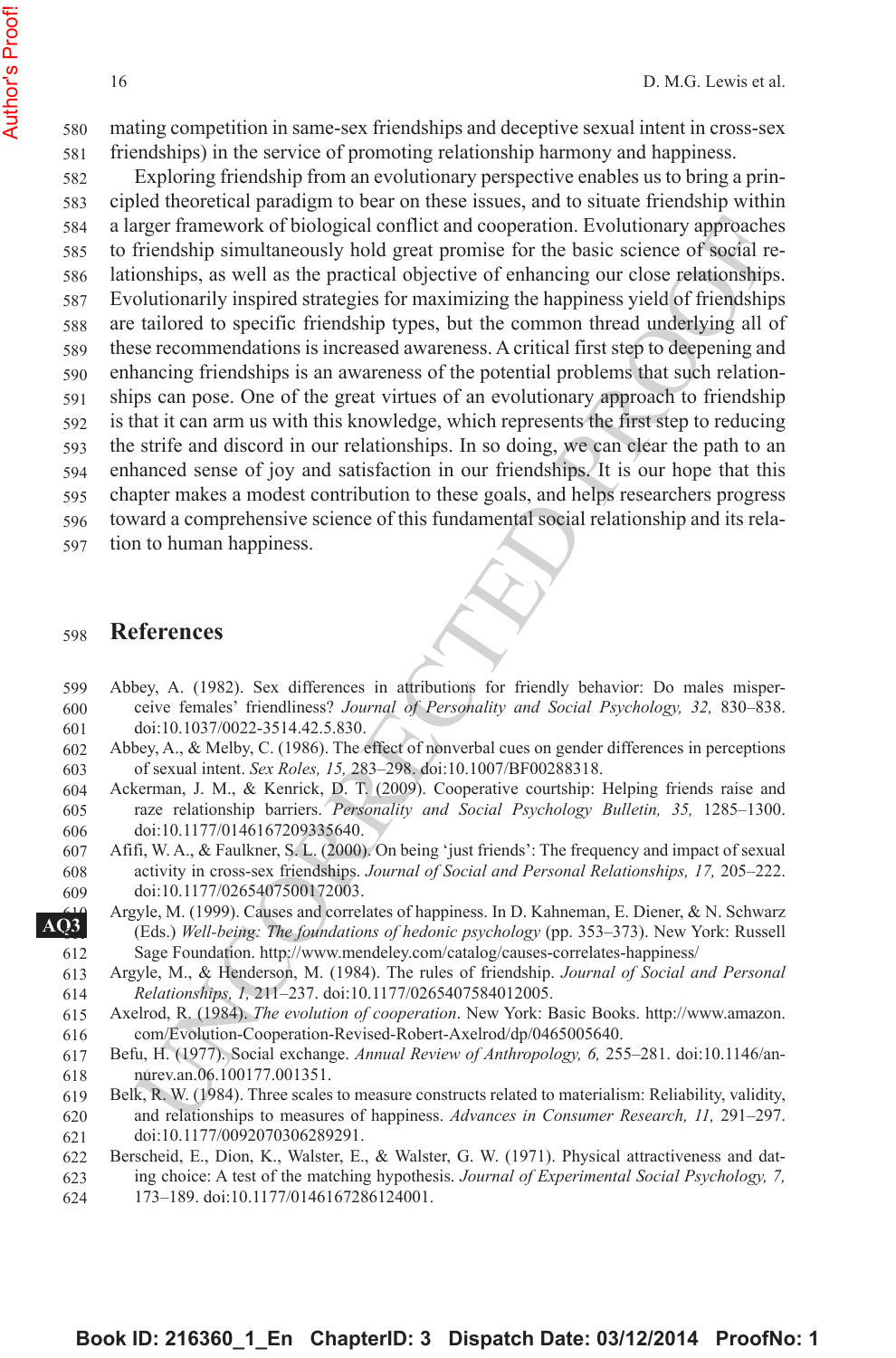mating competition in same-sex friendships and deceptive sexual intent in cross-sex friendships) in the service of promoting relationship harmony and happiness. 580

arger framework of biological conflict and cooperation. Evolutionary approaches<br>note threadship simultaneously hold great promise for the basic science of social relationships,<br>ionships, as well as the practical objective Exploring friendship from an evolutionary perspective enables us to bring a principled theoretical paradigm to bear on these issues, and to situate friendship within a larger framework of biological conflict and cooperation. Evolutionary approaches to friendship simultaneously hold great promise for the basic science of social relationships, as well as the practical objective of enhancing our close relationships. Evolutionarily inspired strategies for maximizing the happiness yield of friendships are tailored to specific friendship types, but the common thread underlying all of these recommendations is increased awareness. A critical first step to deepening and enhancing friendships is an awareness of the potential problems that such relationships can pose. One of the great virtues of an evolutionary approach to friendship is that it can arm us with this knowledge, which represents the first step to reducing the strife and discord in our relationships. In so doing, we can clear the path to an enhanced sense of joy and satisfaction in our friendships. It is our hope that this chapter makes a modest contribution to these goals, and helps researchers progress toward a comprehensive science of this fundamental social relationship and its relation to human happiness. 581 582 583 584 585 586 587 588 589 590 591 592 593 594 595 596 597

## **References** 598

- <span id="page-15-7"></span>Abbey, A. (1982). Sex differences in attributions for friendly behavior: Do males misperceive females' friendliness? *Journal of Personality and Social Psychology, 32,* 830–838. doi:10.1037/0022-3514.42.5.830. 599 600 601
- <span id="page-15-8"></span>Abbey, A., & Melby, C. (1986). The effect of nonverbal cues on gender differences in perceptions of sexual intent. *Sex Roles, 15,* 283–298. doi:10.1007/BF00288318. 602 603
- <span id="page-15-5"></span>Ackerman, J. M., & Kenrick, D. T. (2009). Cooperative courtship: Helping friends raise and raze relationship barriers. *Personality and Social Psychology Bulletin, 35,* 1285–1300. doi:10.1177/0146167209335640. 604 605 606
- <span id="page-15-6"></span>Afifi, W. A., & Faulkner, S. L. (2000). On being 'just friends': The frequency and impact of sexual activity in cross-sex friendships. *Journal of Social and Personal Relationships, 17,* 205–222. doi:10.1177/0265407500172003. 607 608 609
- <span id="page-15-9"></span><span id="page-15-4"></span><span id="page-15-2"></span><span id="page-15-1"></span><span id="page-15-0"></span>Argyle, M. (1999). Causes and correlates of happiness. In D. Kahneman, E. Diener, & N. Schwarz (Eds.) *Well-being: The foundations of hedonic psychology* (pp. 353–373). New York: Russell Sage Foundation. http://www.mendeley.com/catalog/causes-correlates-happiness/ **AQ3** 610  $\frac{\partial}{\partial t}$ 612
	- Argyle, M., & Henderson, M. (1984). The rules of friendship. *Journal of Social and Personal Relationships, 1,* 211–237. doi:10.1177/0265407584012005. 613 614
	- Axelrod, R. (1984). *The evolution of cooperation*. New York: Basic Books. http://www.amazon. com/Evolution-Cooperation-Revised-Robert-Axelrod/dp/0465005640. 615 616
	- Befu, H. (1977). Social exchange. *Annual Review of Anthropology, 6,* 255–281. doi:10.1146/annurev.an.06.100177.001351. 617 618
	- Belk, R. W. (1984). Three scales to measure constructs related to materialism: Reliability, validity, and relationships to measures of happiness. *Advances in Consumer Research, 11,* 291–297. doi:10.1177/0092070306289291. 619 620 621
	- Berscheid, E., Dion, K., Walster, E., & Walster, G. W. (1971). Physical attractiveness and dat-622
	- ing choice: A test of the matching hypothesis. *Journal of Experimental Social Psychology, 7,* 623
	- 173–189. doi:10.1177/0146167286124001. 624

<span id="page-15-3"></span>**Book ID: 216360\_1\_En ChapterID: 3 Dispatch Date: 03/12/2014 ProofNo: 1**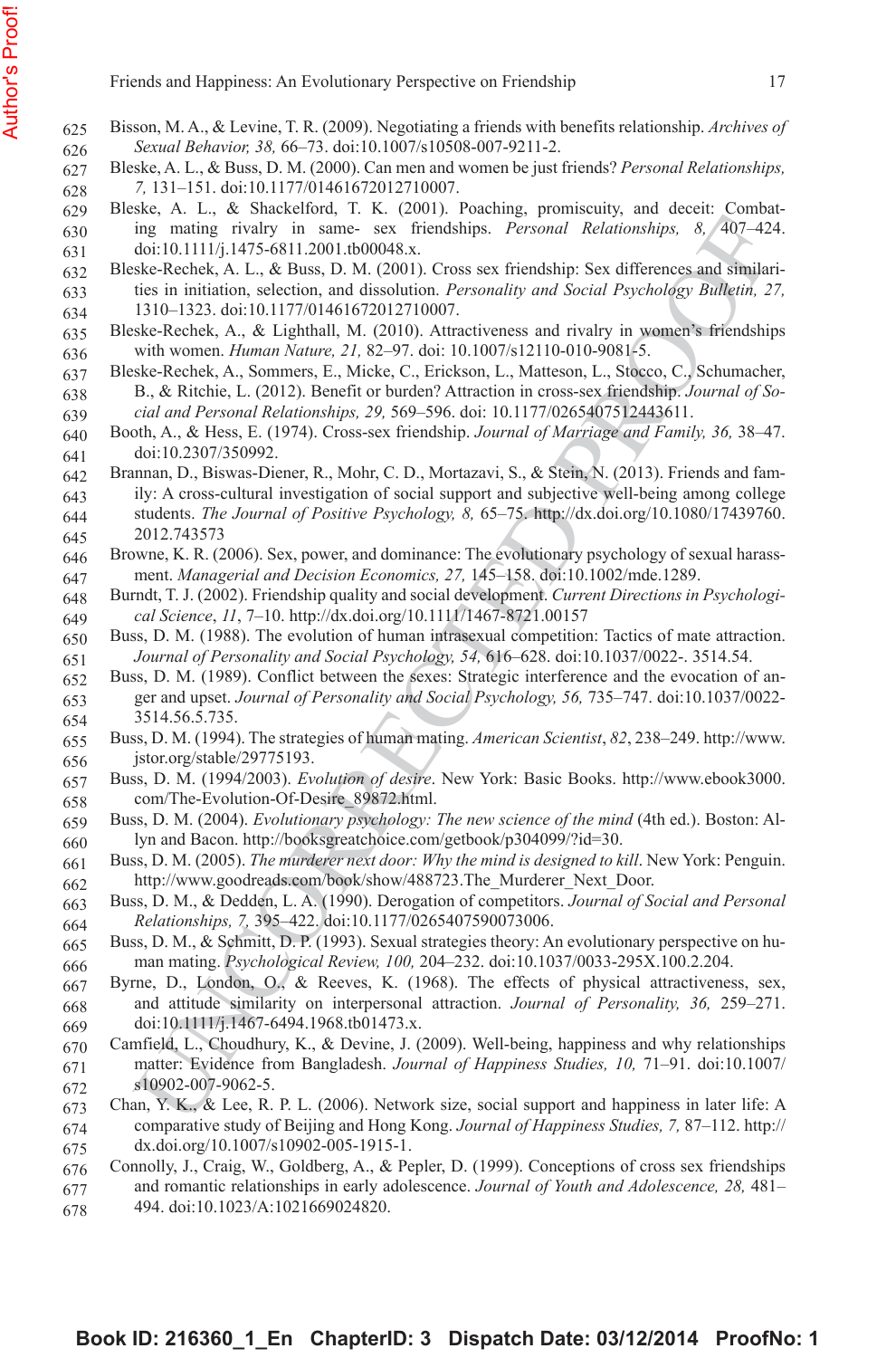- <span id="page-16-21"></span>Bisson, M. A., & Levine, T. R. (2009). Negotiating a friends with benefits relationship. *Archives of Sexual Behavior, 38,* 66–73. doi:10.1007/s10508-007-9211-2. 625 626
- <span id="page-16-5"></span>Bleske, A. L., & Buss, D. M. (2000). Can men and women be just friends? *Personal Relationships, 7,* 131–151. doi:10.1177/01461672012710007. 627 628
- <span id="page-16-12"></span>Bleske, A. L., & Shackelford, T. K. (2001). Poaching, promiscuity, and deceit: Combating mating rivalry in same- sex friendships. *Personal Relationships, 8,* 407–424. doi:10.1111/j.1475-6811.2001.tb00048.x. 629 630 631
- <span id="page-16-16"></span>Bleske-Rechek, A. L., & Buss, D. M. (2001). Cross sex friendship: Sex differences and similarities in initiation, selection, and dissolution. *Personality and Social Psychology Bulletin, 27,* 1310–1323. doi:10.1177/01461672012710007. 632 633 634
- <span id="page-16-20"></span>Bleske-Rechek, A., & Lighthall, M. (2010). Attractiveness and rivalry in women's friendships with women. *Human Nature, 21,* 82–97. doi: 10.1007/s12110-010-9081-5. 635 636
- <span id="page-16-11"></span>Bleske-Rechek, A., Sommers, E., Micke, C., Erickson, L., Matteson, L., Stocco, C., Schumacher, B., & Ritchie, L. (2012). Benefit or burden? Attraction in cross-sex friendship. *Journal of Social and Personal Relationships, 29,* 569–596. doi: 10.1177/0265407512443611. 637 638 639
- <span id="page-16-17"></span><span id="page-16-0"></span>Booth, A., & Hess, E. (1974). Cross-sex friendship. *Journal of Marriage and Family, 36,* 38–47. doi:10.2307/350992. 640 641
- main is manne, set from the set from the set from the set from the set from the set for the set is the Bussic Kechek, A. L., & Bussic D. (1001). Cross as the individual Set alterligen and amalging the tis since the set is Brannan, D., Biswas-Diener, R., Mohr, C. D., Mortazavi, S., & Stein, N. (2013). Friends and family: A cross-cultural investigation of social support and subjective well-being among college students. *The Journal of Positive Psychology, 8,* 65–75. http://dx.doi.org/10.1080/17439760. 2012.743573 642 643 644 645
- <span id="page-16-13"></span>Browne, K. R. (2006). Sex, power, and dominance: The evolutionary psychology of sexual harassment. *Managerial and Decision Economics, 27,* 145–158. doi:10.1002/mde.1289. 646 647
- <span id="page-16-18"></span>Burndt, T. J. (2002). Friendship quality and social development. *Current Directions in Psychological Science*, *11*, 7–10. http://dx.doi.org/10.1111/1467-8721.00157 648 649
- <span id="page-16-9"></span>Buss, D. M. (1988). The evolution of human intrasexual competition: Tactics of mate attraction. *Journal of Personality and Social Psychology, 54,* 616–628. doi:10.1037/0022-. 3514.54. 650 651
- <span id="page-16-7"></span>Buss, D. M. (1989). Conflict between the sexes: Strategic interference and the evocation of anger and upset. *Journal of Personality and Social Psychology, 56,* 735–747. doi:10.1037/0022- 3514.56.5.735. 652 653 654
- <span id="page-16-14"></span>Buss, D. M. (1994). The strategies of human mating. *American Scientist*, *82*, 238–249. http://www. jstor.org/stable/29775193. 655 656
- <span id="page-16-10"></span>Buss, D. M. (1994/2003). *Evolution of desire*. New York: Basic Books. http://www.ebook3000. com/The-Evolution-Of-Desire\_89872.html. 657 658
- <span id="page-16-3"></span>Buss, D. M. (2004). *Evolutionary psychology: The new science of the mind* (4th ed.). Boston: Allyn and Bacon. http://booksgreatchoice.com/getbook/p304099/?id=30. 659 660
- <span id="page-16-15"></span>Buss, D. M. (2005). *The murderer next door: Why the mind is designed to kill*. New York: Penguin. http://www.goodreads.com/book/show/488723.The\_Murderer\_Next\_Door. 661 662
- <span id="page-16-19"></span>Buss, D. M., & Dedden, L. A. (1990). Derogation of competitors. *Journal of Social and Personal Relationships, 7,* 395–422. doi:10.1177/0265407590073006. 663 664
- <span id="page-16-8"></span>Buss, D. M., & Schmitt, D. P. (1993). Sexual strategies theory: An evolutionary perspective on human mating. *Psychological Review, 100,* 204–232. doi:10.1037/0033-295X.100.2.204. 665 666
- <span id="page-16-4"></span>Byrne, D., London, O., & Reeves, K. (1968). The effects of physical attractiveness, sex, and attitude similarity on interpersonal attraction. *Journal of Personality, 36,* 259–271. doi:10.1111/j.1467-6494.1968.tb01473.x. 667 668 669
- <span id="page-16-1"></span>Camfield, L., Choudhury, K., & Devine, J. (2009). Well-being, happiness and why relationships matter: Evidence from Bangladesh. *Journal of Happiness Studies, 10,* 71–91. doi:10.1007/ s10902-007-9062-5. 670 671 672
- <span id="page-16-2"></span>Chan, Y. K., & Lee, R. P. L. (2006). Network size, social support and happiness in later life: A comparative study of Beijing and Hong Kong. *Journal of Happiness Studies, 7,* 87–112. http:// dx.doi.org/10.1007/s10902-005-1915-1. 673 674 675
- <span id="page-16-6"></span>Connolly, J., Craig, W., Goldberg, A., & Pepler, D. (1999). Conceptions of cross sex friendships and romantic relationships in early adolescence. *Journal of Youth and Adolescence, 28,* 481– 676
- 494. doi:10.1023/A:1021669024820. 677 678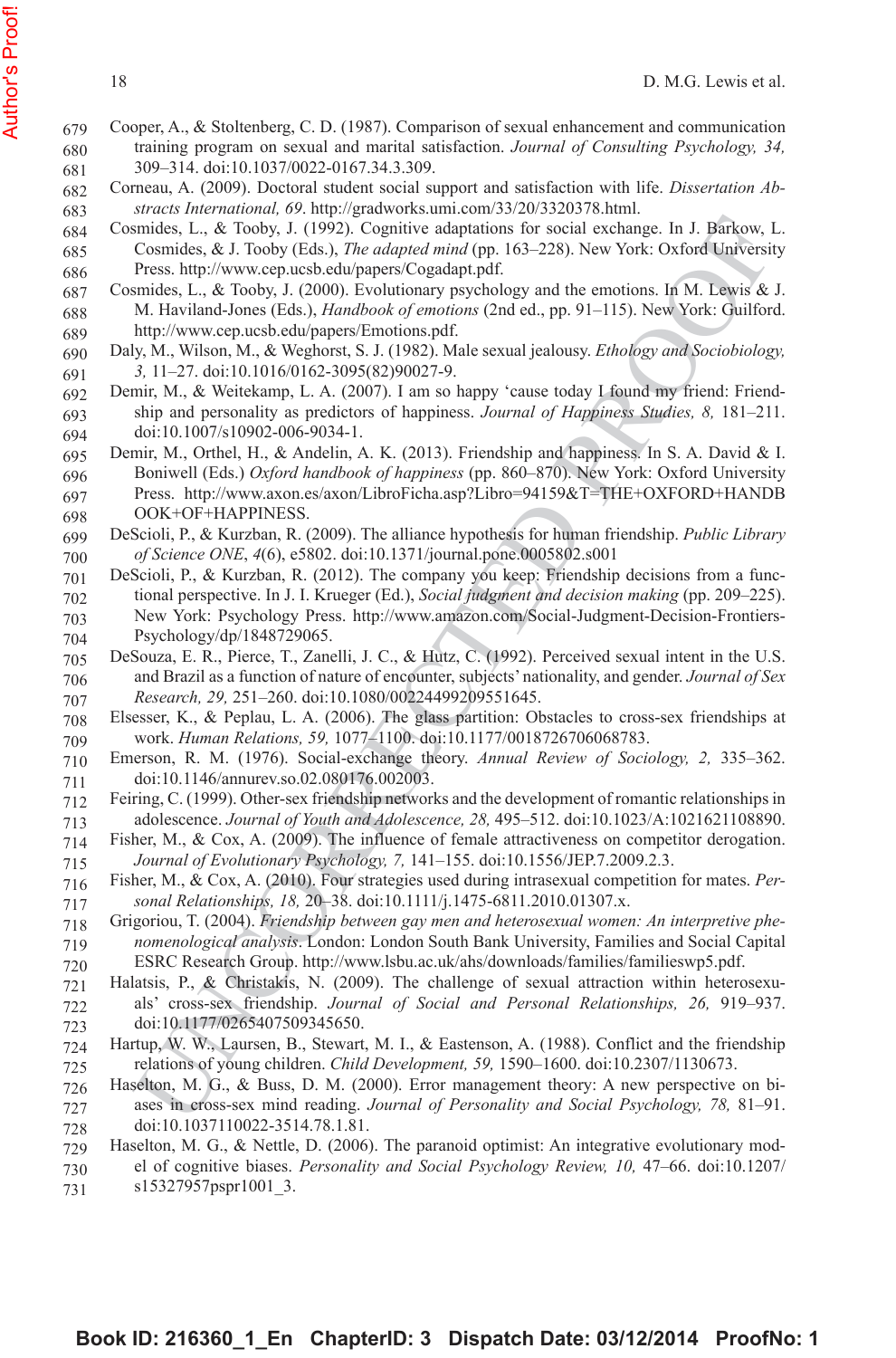- <span id="page-17-19"></span>Cooper, A., & Stoltenberg, C. D. (1987). Comparison of sexual enhancement and communication training program on sexual and marital satisfaction. *Journal of Consulting Psychology, 34,* 309–314. doi:10.1037/0022-0167.34.3.309.
- <span id="page-17-2"></span>Corneau, A. (2009). Doctoral student social support and satisfaction with life. *Dissertation Abstracts International, 69*. http://gradworks.umi.com/33/20/3320378.html.
- Cosmides, L., & Tooby, J. (1992). Cognitive adaptations for social exchange. In J. Barkow, L. Cosmides, & J. Tooby (Eds.), *The adapted mind* (pp. 163–228). New York: Oxford University Press. http://www.cep.ucsb.edu/papers/Cogadapt.pdf. 685 686
- <span id="page-17-3"></span>Cosmides, L., & Tooby, J. (2000). Evolutionary psychology and the emotions. In M. Lewis & J. M. Haviland-Jones (Eds.), *Handbook of emotions* (2nd ed., pp. 91–115). New York: Guilford. http://www.cep.ucsb.edu/papers/Emotions.pdf. 687 688 689
- <span id="page-17-14"></span>Daly, M., Wilson, M., & Weghorst, S. J. (1982). Male sexual jealousy. *Ethology and Sociobiology, 3,* 11–27. doi:10.1016/0162-3095(82)90027-9. 690 691
- <span id="page-17-1"></span><span id="page-17-0"></span>Demir, M., & Weitekamp, L. A. (2007). I am so happy 'cause today I found my friend: Friendship and personality as predictors of happiness. *Journal of Happiness Studies, 8,* 181–211. doi:10.1007/s10902-006-9034-1. 692 693 694
- <span id="page-17-5"></span>smitte, J., & Toroly, 1, (1992). Cognitive adaptation for stocial evchange. In 1, Barkow, 1, Barkow, 1, Barkow, 1, Barkow, 1, Barkow, 1, Barkow, 1, Barkow, 1, Barkow, 1, Barkow, 1, Barkow, 1, 2, 2, 2, 2, 2, 2, 2, 2, 2, 2, Demir, M., Orthel, H., & Andelin, A. K. (2013). Friendship and happiness. In S. A. David & I. Boniwell (Eds.) *Oxford handbook of happiness* (pp. 860–870). New York: Oxford University Press. http://www.axon.es/axon/LibroFicha.asp?Libro=94159&T=THE+OXFORD+HANDB OOK+OF+HAPPINESS. 695 696 697 698
- <span id="page-17-7"></span>DeScioli, P., & Kurzban, R. (2009). The alliance hypothesis for human friendship. *Public Library of Science ONE*, *4*(6), e5802. doi:10.1371/journal.pone.0005802.s001 699 700
- <span id="page-17-6"></span>DeScioli, P., & Kurzban, R. (2012). The company you keep: Friendship decisions from a functional perspective. In J. I. Krueger (Ed.), *Social judgment and decision making* (pp. 209–225). New York: Psychology Press. http://www.amazon.com/Social-Judgment-Decision-Frontiers-Psychology/dp/1848729065. 701 702 703 704
- <span id="page-17-9"></span>DeSouza, E. R., Pierce, T., Zanelli, J. C., & Hutz, C. (1992). Perceived sexual intent in the U.S. and Brazil as a function of nature of encounter, subjects' nationality, and gender. *Journal of Sex Research, 29,* 251–260. doi:10.1080/00224499209551645. 705 706 707
- <span id="page-17-10"></span>Elsesser, K., & Peplau, L. A. (2006). The glass partition: Obstacles to cross-sex friendships at work. *Human Relations, 59,* 1077–1100. doi:10.1177/0018726706068783. 708 709
- <span id="page-17-4"></span>Emerson, R. M. (1976). Social-exchange theory. *Annual Review of Sociology, 2,* 335–362. doi:10.1146/annurev.so.02.080176.002003. 710 711
- <span id="page-17-8"></span>Feiring, C. (1999). Other-sex friendship networks and the development of romantic relationships in adolescence. *Journal of Youth and Adolescence, 28,* 495–512. doi:10.1023/A:1021621108890. 712 713
- <span id="page-17-18"></span>Fisher, M., & Cox, A. (2009). The influence of female attractiveness on competitor derogation. *Journal of Evolutionary Psychology, 7,* 141–155. doi:10.1556/JEP.7.2009.2.3. 714 715
- <span id="page-17-17"></span>Fisher, M., & Cox, A. (2010). Four strategies used during intrasexual competition for mates. *Personal Relationships, 18,* 20–38. doi:10.1111/j.1475-6811.2010.01307.x. 716 717
- <span id="page-17-16"></span>Grigoriou, T. (2004). *Friendship between gay men and heterosexual women: An interpretive phenomenological analysis*. London: London South Bank University, Families and Social Capital ESRC Research Group. http://www.lsbu.ac.uk/ahs/downloads/families/familieswp5.pdf. 718 719 720
- <span id="page-17-11"></span>Halatsis, P., & Christakis, N. (2009). The challenge of sexual attraction within heterosexuals' cross-sex friendship. *Journal of Social and Personal Relationships, 26,* 919–937. doi:10.1177/0265407509345650. 721 722 723
- <span id="page-17-15"></span>Hartup, W. W., Laursen, B., Stewart, M. I., & Eastenson, A. (1988). Conflict and the friendship relations of young children. *Child Development, 59,* 1590–1600. doi:10.2307/1130673. 724 725
- <span id="page-17-12"></span>Haselton, M. G., & Buss, D. M. (2000). Error management theory: A new perspective on biases in cross-sex mind reading. *Journal of Personality and Social Psychology, 78,* 81–91. doi:10.1037110022-3514.78.1.81. 726 727 728
- <span id="page-17-13"></span>Haselton, M. G., & Nettle, D. (2006). The paranoid optimist: An integrative evolutionary mod-729
- el of cognitive biases. *Personality and Social Psychology Review, 10,* 47–66. doi:10.1207/ s15327957pspr1001\_3. 730 731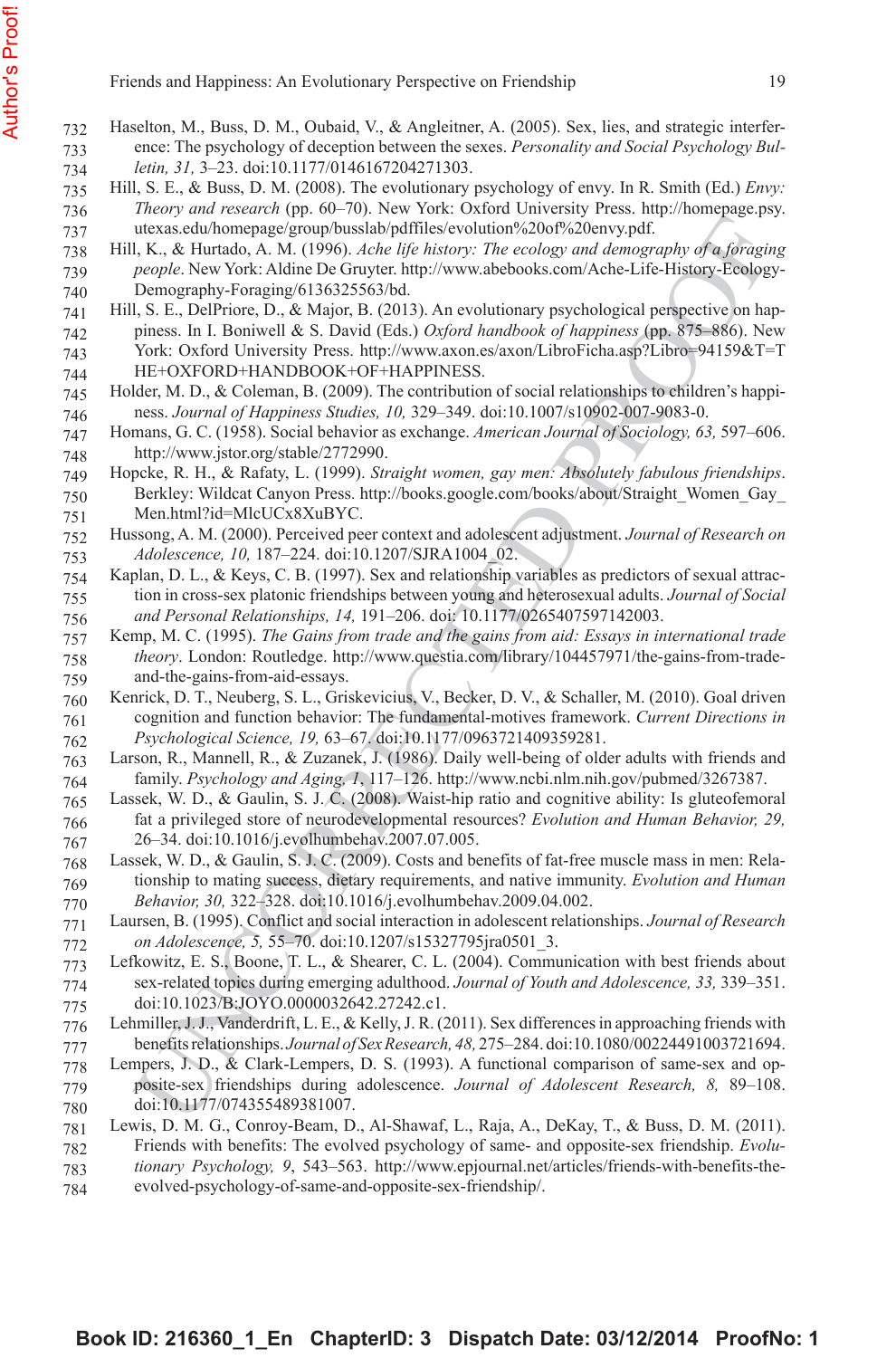- <span id="page-18-7"></span>Haselton, M., Buss, D. M., Oubaid, V., & Angleitner, A. (2005). Sex, lies, and strategic interference: The psychology of deception between the sexes. *Personality and Social Psychology Bulletin, 31,* 3–23. doi:10.1177/0146167204271303. 732 733 734
- <span id="page-18-17"></span>Hill, S. E., & Buss, D. M. (2008). The evolutionary psychology of envy. In R. Smith (Ed.) *Envy: Theory and research* (pp. 60–70). New York: Oxford University Press. http://homepage.psy. utexas.edu/homepage/group/busslab/pdffiles/evolution%20of%20envy.pdf. 735 736 737
- <span id="page-18-5"></span><span id="page-18-1"></span>Hill, K., & Hurtado, A. M. (1996). *Ache life history: The ecology and demography of a foraging people*. New York: Aldine De Gruyter. http://www.abebooks.com/Ache-Life-History-Ecology-Demography-Foraging/6136325563/bd. 738 739 740
- uteras edubmoregage from the highliftlesic volution "2008"  $\Delta$ 008" (1008) (1008) (1008) (1008) (1008). According the Groupy of a Gragging Channel Distribution (1008) (1008) (1008) (1008) (1008) (1008) (1008) (1008) (1008 Hill, S. E., DelPriore, D., & Major, B. (2013). An evolutionary psychological perspective on happiness. In I. Boniwell & S. David (Eds.) *Oxford handbook of happiness* (pp. 875–886). New York: Oxford University Press. http://www.axon.es/axon/LibroFicha.asp?Libro=94159&T=T 741 742 743
- HE+OXFORD+HANDBOOK+OF+HAPPINESS. 744
- <span id="page-18-13"></span>Holder, M. D., & Coleman, B. (2009). The contribution of social relationships to children's happiness. *Journal of Happiness Studies, 10,* 329–349. doi:10.1007/s10902-007-9083-0. 745 746
- <span id="page-18-3"></span>Homans, G. C. (1958). Social behavior as exchange. *American Journal of Sociology, 63,* 597–606. http://www.jstor.org/stable/2772990. 747 748
- <span id="page-18-16"></span>Hopcke, R. H., & Rafaty, L. (1999). *Straight women, gay men: Absolutely fabulous friendships*. Berkley: Wildcat Canyon Press. http://books.google.com/books/about/Straight\_Women\_Gay\_ Men.html?id=MlcUCx8XuBYC. 749 750 751
- <span id="page-18-14"></span>Hussong, A. M. (2000). Perceived peer context and adolescent adjustment. *Journal of Research on Adolescence, 10,* 187–224. doi:10.1207/SJRA1004\_02. 752 753
- <span id="page-18-11"></span>Kaplan, D. L., & Keys, C. B. (1997). Sex and relationship variables as predictors of sexual attraction in cross-sex platonic friendships between young and heterosexual adults. *Journal of Social and Personal Relationships, 14,* 191–206. doi: 10.1177/0265407597142003. 754 755 756
- <span id="page-18-4"></span>Kemp, M. C. (1995). *The Gains from trade and the gains from aid: Essays in international trade theory*. London: Routledge. http://www.questia.com/library/104457971/the-gains-from-tradeand-the-gains-from-aid-essays. 757 758 759
- <span id="page-18-2"></span>Kenrick, D. T., Neuberg, S. L., Griskevicius, V., Becker, D. V., & Schaller, M. (2010). Goal driven cognition and function behavior: The fundamental-motives framework. *Current Directions in Psychological Science, 19,* 63–67. doi:10.1177/0963721409359281. 760 761 762
- <span id="page-18-0"></span>Larson, R., Mannell, R., & Zuzanek, J. (1986). Daily well-being of older adults with friends and family. *Psychology and Aging, 1*, 117–126. http://www.ncbi.nlm.nih.gov/pubmed/3267387. 763 764
- <span id="page-18-9"></span>Lassek, W. D., & Gaulin, S. J. C. (2008). Waist-hip ratio and cognitive ability: Is gluteofemoral fat a privileged store of neurodevelopmental resources? *Evolution and Human Behavior, 29,* 26–34. doi:10.1016/j.evolhumbehav.2007.07.005. 765 766 767
- <span id="page-18-10"></span>Lassek, W. D., & Gaulin, S. J. C. (2009). Costs and benefits of fat-free muscle mass in men: Relationship to mating success, dietary requirements, and native immunity. *Evolution and Human Behavior, 30,* 322–328. doi:10.1016/j.evolhumbehav.2009.04.002. 768 769 770
- <span id="page-18-15"></span>Laursen, B. (1995). Conflict and social interaction in adolescent relationships. *Journal of Research on Adolescence, 5,* 55–70. doi:10.1207/s15327795jra0501\_3. 771 772
- <span id="page-18-8"></span>Lefkowitz, E. S., Boone, T. L., & Shearer, C. L. (2004). Communication with best friends about sex-related topics during emerging adulthood. *Journal of Youth and Adolescence, 33,* 339–351. doi:10.1023/B:JOYO.0000032642.27242.c1. 773 774 775
- <span id="page-18-18"></span>Lehmiller, J. J., Vanderdrift, L. E., & Kelly, J. R. (2011). Sex differences in approaching friends with benefits relationships. *Journal of Sex Research, 48,* 275–284. doi:10.1080/00224491003721694. 776 777
- <span id="page-18-12"></span>Lempers, J. D., & Clark-Lempers, D. S. (1993). A functional comparison of same-sex and opposite-sex friendships during adolescence. *Journal of Adolescent Research, 8,* 89–108. doi:10.1177/074355489381007. 778 779 780
- <span id="page-18-6"></span>Lewis, D. M. G., Conroy-Beam, D., Al-Shawaf, L., Raja, A., DeKay, T., & Buss, D. M. (2011). 781
- Friends with benefits: The evolved psychology of same- and opposite-sex friendship. *Evolutionary Psychology, 9*, 543–563. http://www.epjournal.net/articles/friends-with-benefits-theevolved-psychology-of-same-and-opposite-sex-friendship/. 782 783
- 784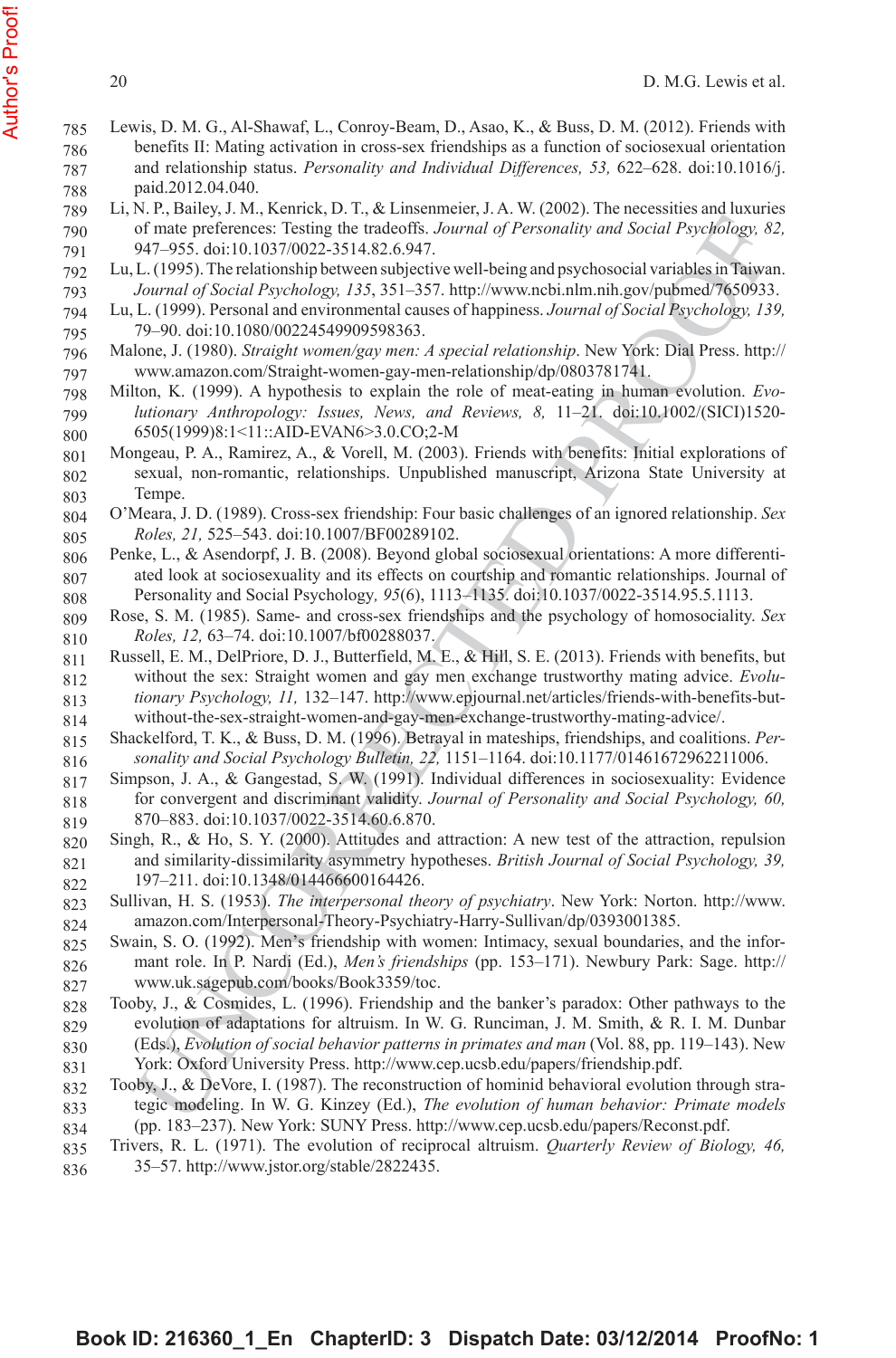- <span id="page-19-9"></span>Lewis, D. M. G., Al-Shawaf, L., Conroy-Beam, D., Asao, K., & Buss, D. M. (2012). Friends with benefits II: Mating activation in cross-sex friendships as a function of sociosexual orientation and relationship status. *Personality and Individual Differences, 53,* 622–628. doi:10.1016/j. paid.2012.04.040. 785 786 787 788
- <span id="page-19-14"></span>Li, N. P., Bailey, J. M., Kenrick, D. T., & Linsenmeier, J. A. W. (2002). The necessities and luxuries of mate preferences: Testing the tradeoffs. *Journal of Personality and Social Psychology, 82,* 947–955. doi:10.1037/0022-3514.82.6.947. 789 790 791
- <span id="page-19-0"></span>Lu, L. (1995). The relationship between subjective well-being and psychosocial variables in Taiwan. *Journal of Social Psychology, 135*, 351–357. http://www.ncbi.nlm.nih.gov/pubmed/7650933. 792 793
- <span id="page-19-1"></span>Lu, L. (1999). Personal and environmental causes of happiness. *Journal of Social Psychology, 139,* 79–90. doi:10.1080/00224549909598363. 794 795
- <span id="page-19-18"></span>Malone, J. (1980). *Straight women/gay men: A special relationship*. New York: Dial Press. http:// www.amazon.com/Straight-women-gay-men-relationship/dp/0803781741. 796 797
- <span id="page-19-4"></span>Milton, K. (1999). A hypothesis to explain the role of meat-eating in human evolution. *Evolutionary Anthropology: Issues, News, and Reviews, 8,* 11–21. doi:10.1002/(SICI)1520- 6505(1999)8:1<11::AID-EVAN6>3.0.CO;2-M 798 799 800
- <span id="page-19-12"></span>Mongeau, P. A., Ramirez, A., & Vorell, M. (2003). Friends with benefits: Initial explorations of sexual, non-romantic, relationships. Unpublished manuscript, Arizona State University at Tempe. 801 802 803
- <span id="page-19-11"></span>O'Meara, J. D. (1989). Cross-sex friendship: Four basic challenges of an ignored relationship. *Sex Roles, 21,* 525–543. doi:10.1007/BF00289102. 804 805
- <span id="page-19-15"></span>Penke, L., & Asendorpf, J. B. (2008). Beyond global sociosexual orientations: A more differentiated look at sociosexuality and its effects on courtship and romantic relationships. Journal of Personality and Social Psychology*, 95*(6), 1113–1135. doi:10.1037/0022-3514.95.5.1113. 806 807 808
- <span id="page-19-17"></span><span id="page-19-13"></span>Rose, S. M. (1985). Same- and cross-sex friendships and the psychology of homosociality. *Sex Roles, 12,* 63–74. doi:10.1007/bf00288037. 809 810
- of multip preferances: Testing the tracketics Journal of Personality and Social Psychology, 8.<br>
1. (1995). The relationship between subjective well-being and psychological variables in Takya,<br>
1. (1995). The relationship Russell, E. M., DelPriore, D. J., Butterfield, M. E., & Hill, S. E. (2013). Friends with benefits, but without the sex: Straight women and gay men exchange trustworthy mating advice. *Evolutionary Psychology, 11,* 132–147. http://www.epjournal.net/articles/friends-with-benefits-butwithout-the-sex-straight-women-and-gay-men-exchange-trustworthy-mating-advice/. 811 812 813 814
- <span id="page-19-7"></span>Shackelford, T. K., & Buss, D. M. (1996). Betrayal in mateships, friendships, and coalitions. *Personality and Social Psychology Bulletin, 22,* 1151–1164. doi:10.1177/01461672962211006. 815 816
- <span id="page-19-16"></span>Simpson, J. A., & Gangestad, S. W. (1991). Individual differences in sociosexuality: Evidence for convergent and discriminant validity. *Journal of Personality and Social Psychology, 60,* 870–883. doi:10.1037/0022-3514.60.6.870. 817 818 819
- <span id="page-19-5"></span>Singh, R., & Ho, S. Y. (2000). Attitudes and attraction: A new test of the attraction, repulsion and similarity-dissimilarity asymmetry hypotheses. *British Journal of Social Psychology, 39,* 197–211. doi:10.1348/014466600164426. 820 821 822
- <span id="page-19-8"></span>Sullivan, H. S. (1953). *The interpersonal theory of psychiatry*. New York: Norton. http://www. amazon.com/Interpersonal-Theory-Psychiatry-Harry-Sullivan/dp/0393001385. 823 824
- <span id="page-19-10"></span>Swain, S. O. (1992). Men's friendship with women: Intimacy, sexual boundaries, and the informant role. In P. Nardi (Ed.), *Men's friendships* (pp. 153–171). Newbury Park: Sage. http:// www.uk.sagepub.com/books/Book3359/toc. 825 826 827
- <span id="page-19-6"></span>Tooby, J., & Cosmides, L. (1996). Friendship and the banker's paradox: Other pathways to the evolution of adaptations for altruism. In W. G. Runciman, J. M. Smith, & R. I. M. Dunbar (Eds.), *Evolution of social behavior patterns in primates and man* (Vol. 88, pp. 119–143). New York: Oxford University Press. http://www.cep.ucsb.edu/papers/friendship.pdf. 828 829 830 831
- <span id="page-19-2"></span>Tooby, J., & DeVore, I. (1987). The reconstruction of hominid behavioral evolution through strategic modeling. In W. G. Kinzey (Ed.), *The evolution of human behavior: Primate models* (pp. 183–237). New York: SUNY Press. http://www.cep.ucsb.edu/papers/Reconst.pdf. 832 833 834
- <span id="page-19-3"></span>Trivers, R. L. (1971). The evolution of reciprocal altruism. *Quarterly Review of Biology, 46,* 835
- 35–57. http://www.jstor.org/stable/2822435. 836

Author's Proof! Author's Proof!